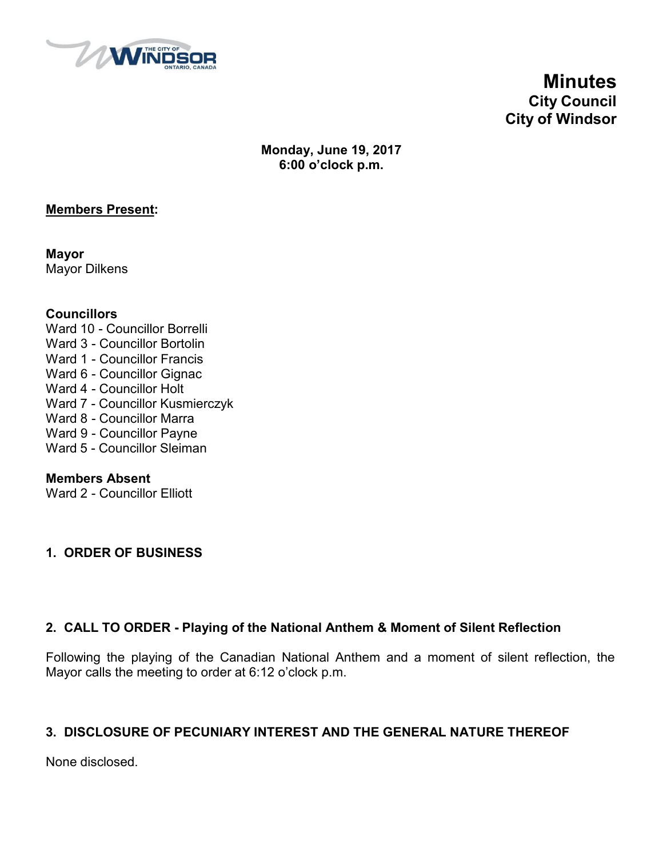

**Minutes City Council City of Windsor**

**Monday, June 19, 2017 6:00 o'clock p.m.**

#### **Members Present:**

**Mayor** Mayor Dilkens

#### **Councillors**

- Ward 10 Councillor Borrelli
- Ward 3 Councillor Bortolin
- Ward 1 Councillor Francis
- Ward 6 Councillor Gignac
- Ward 4 Councillor Holt
- Ward 7 Councillor Kusmierczyk
- Ward 8 Councillor Marra
- Ward 9 Councillor Payne
- Ward 5 Councillor Sleiman

#### **Members Absent**

Ward 2 - Councillor Elliott

## **1. ORDER OF BUSINESS**

#### **2. CALL TO ORDER - Playing of the National Anthem & Moment of Silent Reflection**

Following the playing of the Canadian National Anthem and a moment of silent reflection, the Mayor calls the meeting to order at 6:12 o'clock p.m.

#### **3. DISCLOSURE OF PECUNIARY INTEREST AND THE GENERAL NATURE THEREOF**

None disclosed.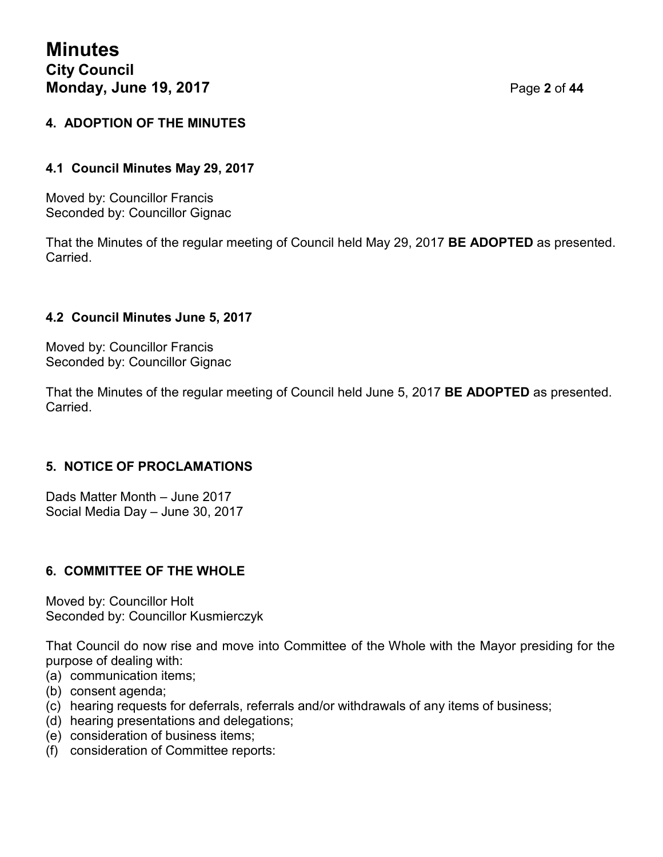## **4. ADOPTION OF THE MINUTES**

## **4.1 Council Minutes May 29, 2017**

Moved by: Councillor Francis Seconded by: Councillor Gignac

That the Minutes of the regular meeting of Council held May 29, 2017 **BE ADOPTED** as presented. Carried.

## **4.2 Council Minutes June 5, 2017**

Moved by: Councillor Francis Seconded by: Councillor Gignac

That the Minutes of the regular meeting of Council held June 5, 2017 **BE ADOPTED** as presented. Carried.

## **5. NOTICE OF PROCLAMATIONS**

Dads Matter Month – June 2017 Social Media Day – June 30, 2017

## **6. COMMITTEE OF THE WHOLE**

Moved by: Councillor Holt Seconded by: Councillor Kusmierczyk

That Council do now rise and move into Committee of the Whole with the Mayor presiding for the purpose of dealing with:

- (a) communication items;
- (b) consent agenda;
- (c) hearing requests for deferrals, referrals and/or withdrawals of any items of business;
- (d) hearing presentations and delegations;
- (e) consideration of business items;
- (f) consideration of Committee reports: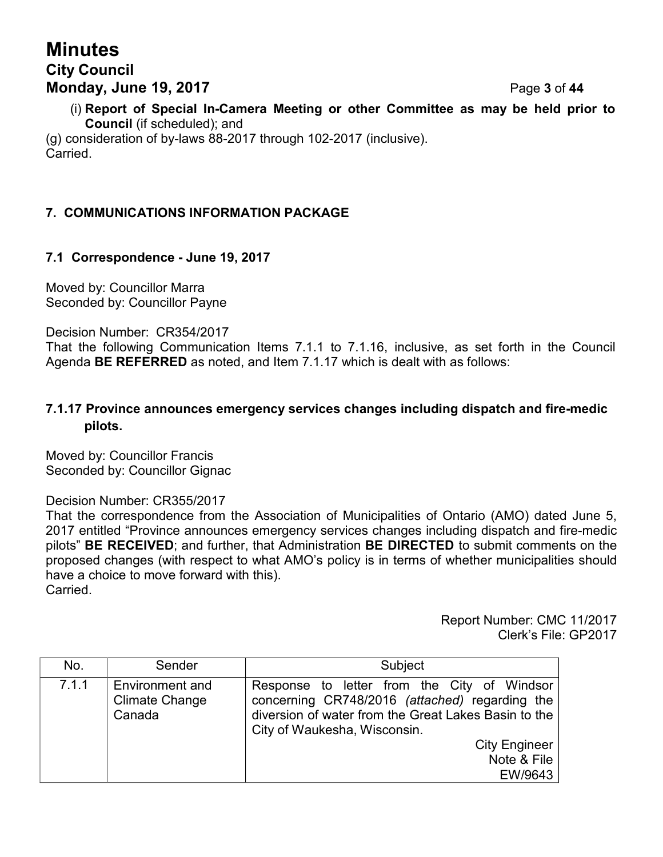# **Minutes City Council Monday, June 19, 2017** Page **3** of **44**

(i) **Report of Special In-Camera Meeting or other Committee as may be held prior to Council** (if scheduled); and

(g) consideration of by-laws 88-2017 through 102-2017 (inclusive). Carried.

## **7. COMMUNICATIONS INFORMATION PACKAGE**

## **7.1 Correspondence - June 19, 2017**

Moved by: Councillor Marra Seconded by: Councillor Payne

Decision Number: CR354/2017

That the following Communication Items 7.1.1 to 7.1.16, inclusive, as set forth in the Council Agenda **BE REFERRED** as noted, and Item 7.1.17 which is dealt with as follows:

## **7.1.17 Province announces emergency services changes including dispatch and fire-medic pilots.**

Moved by: Councillor Francis Seconded by: Councillor Gignac

#### Decision Number: CR355/2017

That the correspondence from the Association of Municipalities of Ontario (AMO) dated June 5, 2017 entitled "Province announces emergency services changes including dispatch and fire-medic pilots" **BE RECEIVED**; and further, that Administration **BE DIRECTED** to submit comments on the proposed changes (with respect to what AMO's policy is in terms of whether municipalities should have a choice to move forward with this). Carried.

#### Report Number: CMC 11/2017 Clerk's File: GP2017

| No.   | Sender                                             | Subject                                                                                                                                                                               |
|-------|----------------------------------------------------|---------------------------------------------------------------------------------------------------------------------------------------------------------------------------------------|
| 7.1.1 | Environment and<br><b>Climate Change</b><br>Canada | Response to letter from the City of Windsor<br>concerning CR748/2016 (attached) regarding the<br>diversion of water from the Great Lakes Basin to the<br>City of Waukesha, Wisconsin. |
|       |                                                    | <b>City Engineer</b><br>Note & File<br>EW/9643                                                                                                                                        |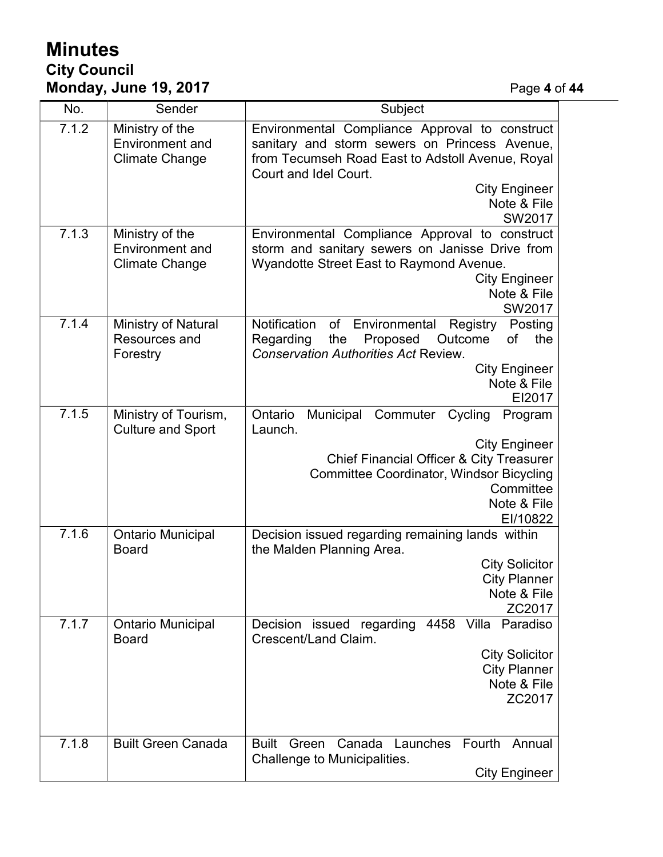# **Minutes City Council Monday, June 19, 2017** Page **4** of **44**

| No.   | Sender                                                             | Subject                                                                                                                                                                                                                                     |
|-------|--------------------------------------------------------------------|---------------------------------------------------------------------------------------------------------------------------------------------------------------------------------------------------------------------------------------------|
| 7.1.2 | Ministry of the<br><b>Environment</b> and<br><b>Climate Change</b> | Environmental Compliance Approval to construct<br>sanitary and storm sewers on Princess Avenue,<br>from Tecumseh Road East to Adstoll Avenue, Royal<br>Court and Idel Court.<br><b>City Engineer</b><br>Note & File                         |
|       |                                                                    | SW2017                                                                                                                                                                                                                                      |
| 7.1.3 | Ministry of the<br><b>Environment</b> and<br><b>Climate Change</b> | Environmental Compliance Approval to construct<br>storm and sanitary sewers on Janisse Drive from<br>Wyandotte Street East to Raymond Avenue.<br><b>City Engineer</b><br>Note & File<br>SW2017                                              |
| 7.1.4 | Ministry of Natural<br>Resources and<br>Forestry                   | Notification<br>of<br>Environmental<br>Registry<br>Posting<br>the<br>Outcome<br>Regarding<br>Proposed<br>of<br>the<br><b>Conservation Authorities Act Review.</b><br><b>City Engineer</b><br>Note & File<br>EI2017                          |
| 7.1.5 | Ministry of Tourism,<br><b>Culture and Sport</b>                   | Ontario<br>Municipal<br>Commuter<br>Cycling<br>Program<br>Launch.<br><b>City Engineer</b><br><b>Chief Financial Officer &amp; City Treasurer</b><br><b>Committee Coordinator, Windsor Bicycling</b><br>Committee<br>Note & File<br>EI/10822 |
| 7.1.6 | <b>Ontario Municipal</b><br><b>Board</b>                           | Decision issued regarding remaining lands within<br>the Malden Planning Area.<br><b>City Solicitor</b><br><b>City Planner</b><br>Note & File<br>ZC2017                                                                                      |
| 7.1.7 | <b>Ontario Municipal</b><br><b>Board</b>                           | Decision issued regarding 4458 Villa Paradiso<br>Crescent/Land Claim.<br><b>City Solicitor</b><br><b>City Planner</b><br>Note & File<br>ZC2017                                                                                              |
| 7.1.8 | <b>Built Green Canada</b>                                          | Canada<br>Launches<br>Fourth Annual<br><b>Built</b><br>Green<br>Challenge to Municipalities.<br><b>City Engineer</b>                                                                                                                        |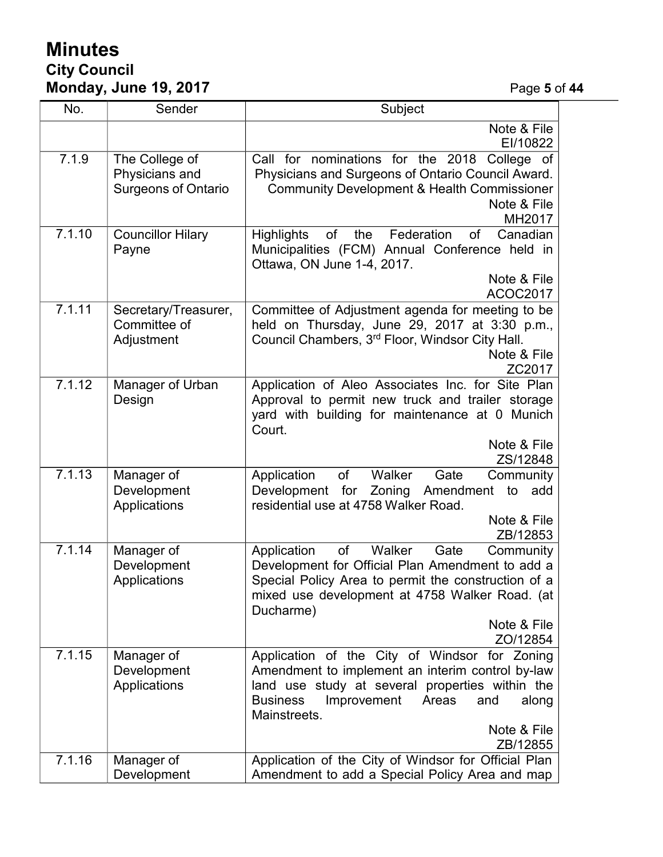# **Minutes City Council Monday, June 19, 2017** Page **5** of **44**

| No.    | Sender                                                         | Subject                                                                                                                                                                                                                                                    |
|--------|----------------------------------------------------------------|------------------------------------------------------------------------------------------------------------------------------------------------------------------------------------------------------------------------------------------------------------|
|        |                                                                | Note & File<br>EI/10822                                                                                                                                                                                                                                    |
| 7.1.9  | The College of<br>Physicians and<br><b>Surgeons of Ontario</b> | Call for nominations for the 2018 College of<br>Physicians and Surgeons of Ontario Council Award.<br><b>Community Development &amp; Health Commissioner</b><br>Note & File<br>MH2017                                                                       |
| 7.1.10 | <b>Councillor Hilary</b><br>Payne                              | Federation<br>Canadian<br>of<br>of<br><b>Highlights</b><br>the<br>Municipalities (FCM) Annual Conference held in<br>Ottawa, ON June 1-4, 2017.<br>Note & File<br><b>ACOC2017</b>                                                                           |
| 7.1.11 | Secretary/Treasurer,<br>Committee of<br>Adjustment             | Committee of Adjustment agenda for meeting to be<br>held on Thursday, June 29, 2017 at 3:30 p.m.,<br>Council Chambers, 3rd Floor, Windsor City Hall.<br>Note & File<br>ZC2017                                                                              |
| 7.1.12 | Manager of Urban<br>Design                                     | Application of Aleo Associates Inc. for Site Plan<br>Approval to permit new truck and trailer storage<br>yard with building for maintenance at 0 Munich<br>Court.<br>Note & File<br>ZS/12848                                                               |
| 7.1.13 | Manager of<br>Development<br>Applications                      | of<br>Application<br>Walker<br>Gate<br>Community<br>for<br>Development<br>Zoning<br>Amendment<br>to<br>add<br>residential use at 4758 Walker Road.<br>Note & File<br>ZB/12853                                                                              |
| 7.1.14 | Manager of<br>Development<br>Applications                      | of<br>Application<br>Walker<br>Gate<br>Community<br>Development for Official Plan Amendment to add a<br>Special Policy Area to permit the construction of a<br>mixed use development at 4758 Walker Road. (at<br>Ducharme)<br>Note & File<br>ZO/12854      |
| 7.1.15 | Manager of<br>Development<br>Applications                      | Application of the City of Windsor for Zoning<br>Amendment to implement an interim control by-law<br>land use study at several properties within the<br><b>Business</b><br>Improvement<br>Areas<br>and<br>along<br>Mainstreets.<br>Note & File<br>ZB/12855 |
| 7.1.16 | Manager of<br>Development                                      | Application of the City of Windsor for Official Plan<br>Amendment to add a Special Policy Area and map                                                                                                                                                     |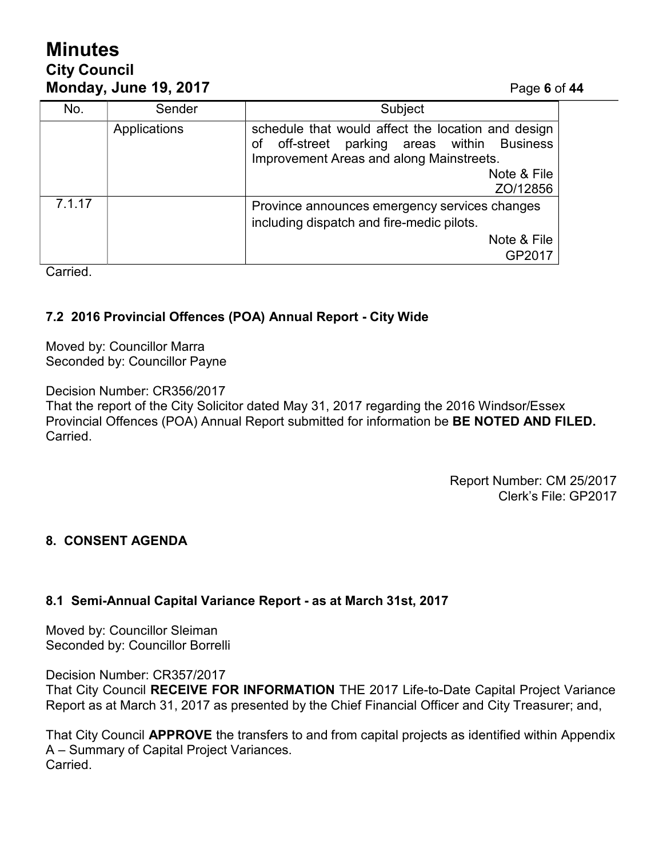# **Minutes City Council Monday, June 19, 2017** Page **6** of **44**

| No.    | Sender       | Subject                                                                                                                                                                     |
|--------|--------------|-----------------------------------------------------------------------------------------------------------------------------------------------------------------------------|
|        | Applications | schedule that would affect the location and design<br>off-street parking areas within Business<br>οf<br>Improvement Areas and along Mainstreets.<br>Note & File<br>ZO/12856 |
| 7.1.17 |              | Province announces emergency services changes<br>including dispatch and fire-medic pilots.<br>Note & File<br>GP2017                                                         |

Carried.

## **7.2 2016 Provincial Offences (POA) Annual Report - City Wide**

Moved by: Councillor Marra Seconded by: Councillor Payne

Decision Number: CR356/2017 That the report of the City Solicitor dated May 31, 2017 regarding the 2016 Windsor/Essex Provincial Offences (POA) Annual Report submitted for information be **BE NOTED AND FILED.** Carried.

> Report Number: CM 25/2017 Clerk's File: GP2017

## **8. CONSENT AGENDA**

#### **8.1 Semi-Annual Capital Variance Report - as at March 31st, 2017**

Moved by: Councillor Sleiman Seconded by: Councillor Borrelli

Decision Number: CR357/2017 That City Council **RECEIVE FOR INFORMATION** THE 2017 Life-to-Date Capital Project Variance Report as at March 31, 2017 as presented by the Chief Financial Officer and City Treasurer; and,

That City Council **APPROVE** the transfers to and from capital projects as identified within Appendix A – Summary of Capital Project Variances. Carried.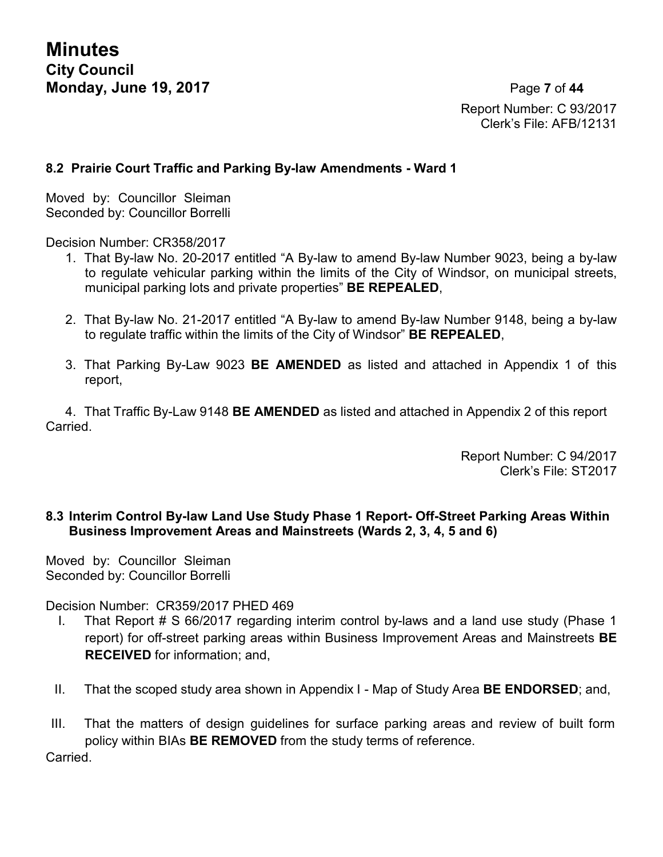Report Number: C 93/2017 Clerk's File: AFB/12131

## **8.2 Prairie Court Traffic and Parking By-law Amendments - Ward 1**

Moved by: Councillor Sleiman Seconded by: Councillor Borrelli

Decision Number: CR358/2017

- 1. That By-law No. 20-2017 entitled "A By-law to amend By-law Number 9023, being a by-law to regulate vehicular parking within the limits of the City of Windsor, on municipal streets, municipal parking lots and private properties" **BE REPEALED**,
- 2. That By-law No. 21-2017 entitled "A By-law to amend By-law Number 9148, being a by-law to regulate traffic within the limits of the City of Windsor" **BE REPEALED**,
- 3. That Parking By-Law 9023 **BE AMENDED** as listed and attached in Appendix 1 of this report,

4. That Traffic By-Law 9148 **BE AMENDED** as listed and attached in Appendix 2 of this report Carried.

> Report Number: C 94/2017 Clerk's File: ST2017

#### **8.3 Interim Control By-law Land Use Study Phase 1 Report- Off-Street Parking Areas Within Business Improvement Areas and Mainstreets (Wards 2, 3, 4, 5 and 6)**

Moved by: Councillor Sleiman Seconded by: Councillor Borrelli

Decision Number: CR359/2017 PHED 469

- I. That Report # S 66/2017 regarding interim control by-laws and a land use study (Phase 1 report) for off-street parking areas within Business Improvement Areas and Mainstreets **BE RECEIVED** for information; and,
- II. That the scoped study area shown in Appendix I Map of Study Area **BE ENDORSED**; and,
- III. That the matters of design guidelines for surface parking areas and review of built form policy within BIAs **BE REMOVED** from the study terms of reference.

Carried.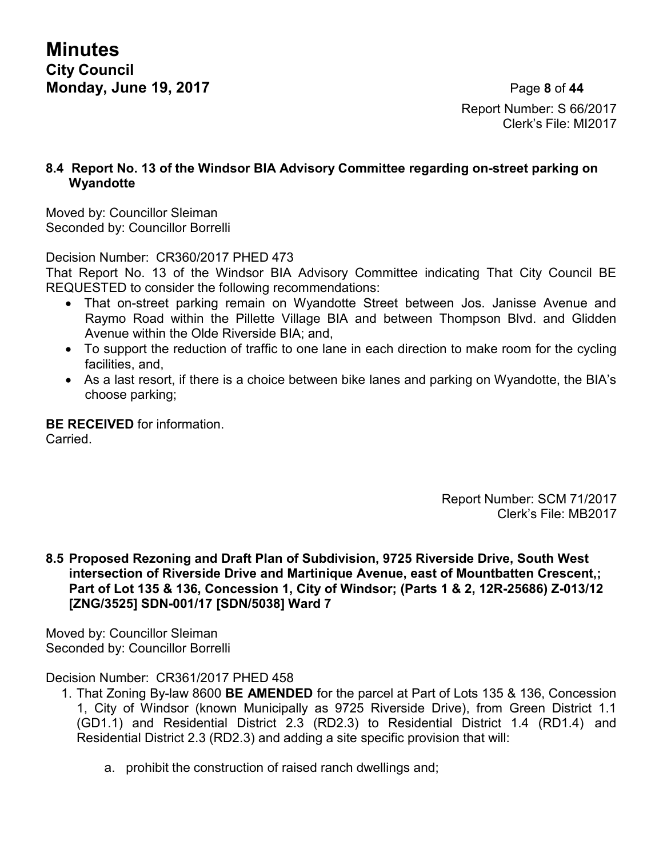**Minutes City Council Monday, June 19, 2017** Page **8** of **44**

Report Number: S 66/2017 Clerk's File: MI2017

### **8.4 Report No. 13 of the Windsor BIA Advisory Committee regarding on-street parking on Wyandotte**

Moved by: Councillor Sleiman Seconded by: Councillor Borrelli

Decision Number: CR360/2017 PHED 473

That Report No. 13 of the Windsor BIA Advisory Committee indicating That City Council BE REQUESTED to consider the following recommendations:

- That on-street parking remain on Wyandotte Street between Jos. Janisse Avenue and Raymo Road within the Pillette Village BIA and between Thompson Blvd. and Glidden Avenue within the Olde Riverside BIA; and,
- To support the reduction of traffic to one lane in each direction to make room for the cycling facilities, and,
- As a last resort, if there is a choice between bike lanes and parking on Wyandotte, the BIA's choose parking;

**BE RECEIVED** for information.

Carried.

Report Number: SCM 71/2017 Clerk's File: MB2017

**8.5 Proposed Rezoning and Draft Plan of Subdivision, 9725 Riverside Drive, South West intersection of Riverside Drive and Martinique Avenue, east of Mountbatten Crescent,; Part of Lot 135 & 136, Concession 1, City of Windsor; (Parts 1 & 2, 12R-25686) Z-013/12 [ZNG/3525] SDN-001/17 [SDN/5038] Ward 7**

Moved by: Councillor Sleiman Seconded by: Councillor Borrelli

Decision Number: CR361/2017 PHED 458

- 1. That Zoning By-law 8600 **BE AMENDED** for the parcel at Part of Lots 135 & 136, Concession 1, City of Windsor (known Municipally as 9725 Riverside Drive), from Green District 1.1 (GD1.1) and Residential District 2.3 (RD2.3) to Residential District 1.4 (RD1.4) and Residential District 2.3 (RD2.3) and adding a site specific provision that will:
	- a. prohibit the construction of raised ranch dwellings and;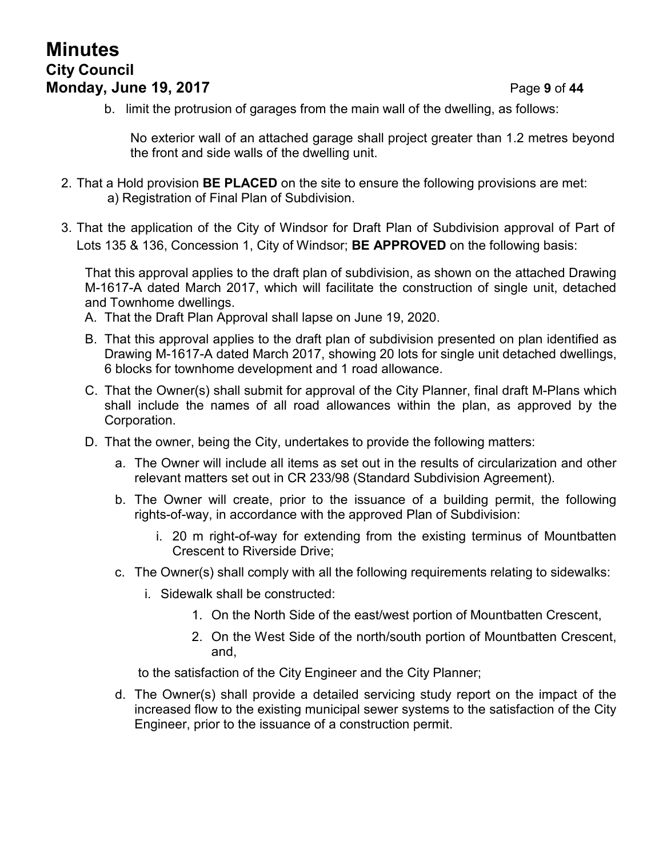# **Minutes City Council Monday, June 19, 2017** Page **9** of **44**

b. limit the protrusion of garages from the main wall of the dwelling, as follows:

No exterior wall of an attached garage shall project greater than 1.2 metres beyond the front and side walls of the dwelling unit.

- 2. That a Hold provision **BE PLACED** on the site to ensure the following provisions are met: a) Registration of Final Plan of Subdivision.
- 3. That the application of the City of Windsor for Draft Plan of Subdivision approval of Part of Lots 135 & 136, Concession 1, City of Windsor; **BE APPROVED** on the following basis:

That this approval applies to the draft plan of subdivision, as shown on the attached Drawing M-1617-A dated March 2017, which will facilitate the construction of single unit, detached and Townhome dwellings.

- A. That the Draft Plan Approval shall lapse on June 19, 2020.
- B. That this approval applies to the draft plan of subdivision presented on plan identified as Drawing M-1617-A dated March 2017, showing 20 lots for single unit detached dwellings, 6 blocks for townhome development and 1 road allowance.
- C. That the Owner(s) shall submit for approval of the City Planner, final draft M-Plans which shall include the names of all road allowances within the plan, as approved by the Corporation.
- D. That the owner, being the City, undertakes to provide the following matters:
	- a. The Owner will include all items as set out in the results of circularization and other relevant matters set out in CR 233/98 (Standard Subdivision Agreement).
	- b. The Owner will create, prior to the issuance of a building permit, the following rights-of-way, in accordance with the approved Plan of Subdivision:
		- i. 20 m right-of-way for extending from the existing terminus of Mountbatten Crescent to Riverside Drive;
	- c. The Owner(s) shall comply with all the following requirements relating to sidewalks:
		- i. Sidewalk shall be constructed:
			- 1. On the North Side of the east/west portion of Mountbatten Crescent,
			- 2. On the West Side of the north/south portion of Mountbatten Crescent, and,

to the satisfaction of the City Engineer and the City Planner;

d. The Owner(s) shall provide a detailed servicing study report on the impact of the increased flow to the existing municipal sewer systems to the satisfaction of the City Engineer, prior to the issuance of a construction permit.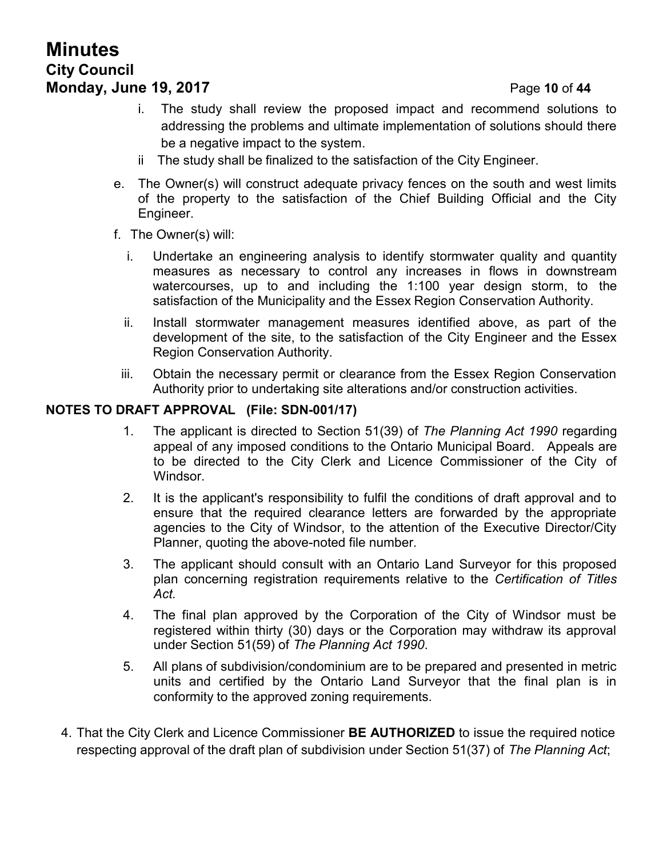# **Minutes City Council Monday, June 19, 2017** Page **10** of **44**

- i. The study shall review the proposed impact and recommend solutions to addressing the problems and ultimate implementation of solutions should there be a negative impact to the system.
- ii The study shall be finalized to the satisfaction of the City Engineer.
- e. The Owner(s) will construct adequate privacy fences on the south and west limits of the property to the satisfaction of the Chief Building Official and the City Engineer.
- f. The Owner(s) will:
	- i. Undertake an engineering analysis to identify stormwater quality and quantity measures as necessary to control any increases in flows in downstream watercourses, up to and including the 1:100 year design storm, to the satisfaction of the Municipality and the Essex Region Conservation Authority.
	- ii. Install stormwater management measures identified above, as part of the development of the site, to the satisfaction of the City Engineer and the Essex Region Conservation Authority.
	- iii. Obtain the necessary permit or clearance from the Essex Region Conservation Authority prior to undertaking site alterations and/or construction activities.

## **NOTES TO DRAFT APPROVAL (File: SDN-001/17)**

- 1. The applicant is directed to Section 51(39) of *The Planning Act 1990* regarding appeal of any imposed conditions to the Ontario Municipal Board. Appeals are to be directed to the City Clerk and Licence Commissioner of the City of Windsor.
- 2. It is the applicant's responsibility to fulfil the conditions of draft approval and to ensure that the required clearance letters are forwarded by the appropriate agencies to the City of Windsor, to the attention of the Executive Director/City Planner, quoting the above-noted file number.
- 3. The applicant should consult with an Ontario Land Surveyor for this proposed plan concerning registration requirements relative to the *Certification of Titles Act.*
- 4. The final plan approved by the Corporation of the City of Windsor must be registered within thirty (30) days or the Corporation may withdraw its approval under Section 51(59) of *The Planning Act 1990*.
- 5. All plans of subdivision/condominium are to be prepared and presented in metric units and certified by the Ontario Land Surveyor that the final plan is in conformity to the approved zoning requirements.
- 4. That the City Clerk and Licence Commissioner **BE AUTHORIZED** to issue the required notice respecting approval of the draft plan of subdivision under Section 51(37) of *The Planning Act*;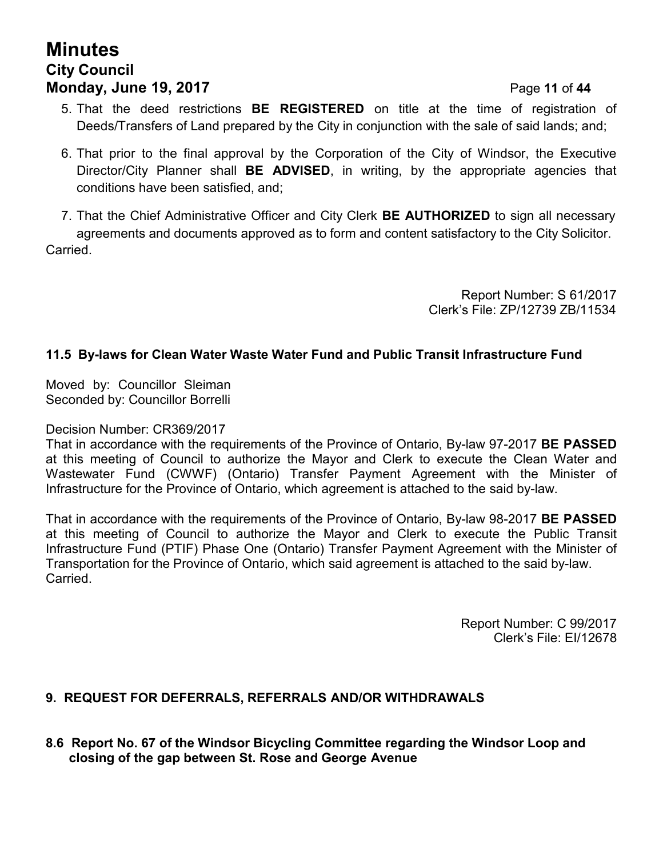# **Minutes City Council Monday, June 19, 2017** Page **11** of **44**

- 5. That the deed restrictions **BE REGISTERED** on title at the time of registration of Deeds/Transfers of Land prepared by the City in conjunction with the sale of said lands; and;
- 6. That prior to the final approval by the Corporation of the City of Windsor, the Executive Director/City Planner shall **BE ADVISED**, in writing, by the appropriate agencies that conditions have been satisfied, and;

7. That the Chief Administrative Officer and City Clerk **BE AUTHORIZED** to sign all necessary agreements and documents approved as to form and content satisfactory to the City Solicitor. Carried.

> Report Number: S 61/2017 Clerk's File: ZP/12739 ZB/11534

## **11.5 By-laws for Clean Water Waste Water Fund and Public Transit Infrastructure Fund**

Moved by: Councillor Sleiman Seconded by: Councillor Borrelli

#### Decision Number: CR369/2017

That in accordance with the requirements of the Province of Ontario, By-law 97-2017 **BE PASSED** at this meeting of Council to authorize the Mayor and Clerk to execute the Clean Water and Wastewater Fund (CWWF) (Ontario) Transfer Payment Agreement with the Minister of Infrastructure for the Province of Ontario, which agreement is attached to the said by-law.

That in accordance with the requirements of the Province of Ontario, By-law 98-2017 **BE PASSED** at this meeting of Council to authorize the Mayor and Clerk to execute the Public Transit Infrastructure Fund (PTIF) Phase One (Ontario) Transfer Payment Agreement with the Minister of Transportation for the Province of Ontario, which said agreement is attached to the said by-law. Carried.

> Report Number: C 99/2017 Clerk's File: EI/12678

#### **9. REQUEST FOR DEFERRALS, REFERRALS AND/OR WITHDRAWALS**

**8.6 Report No. 67 of the Windsor Bicycling Committee regarding the Windsor Loop and closing of the gap between St. Rose and George Avenue**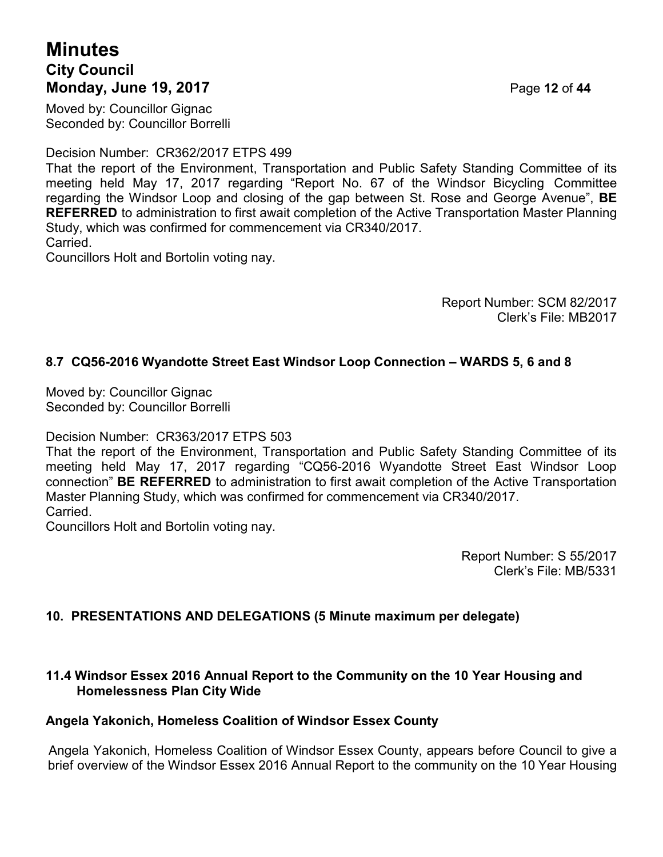# **Minutes City Council Monday, June 19, 2017** Page **12** of **44**

Moved by: Councillor Gignac Seconded by: Councillor Borrelli

Decision Number: CR362/2017 ETPS 499

That the report of the Environment, Transportation and Public Safety Standing Committee of its meeting held May 17, 2017 regarding "Report No. 67 of the Windsor Bicycling Committee regarding the Windsor Loop and closing of the gap between St. Rose and George Avenue", **BE REFERRED** to administration to first await completion of the Active Transportation Master Planning Study, which was confirmed for commencement via CR340/2017. Carried.

Councillors Holt and Bortolin voting nay.

Report Number: SCM 82/2017 Clerk's File: MB2017

## **8.7 CQ56-2016 Wyandotte Street East Windsor Loop Connection – WARDS 5, 6 and 8**

Moved by: Councillor Gignac Seconded by: Councillor Borrelli

Decision Number: CR363/2017 ETPS 503

That the report of the Environment, Transportation and Public Safety Standing Committee of its meeting held May 17, 2017 regarding "CQ56-2016 Wyandotte Street East Windsor Loop connection" **BE REFERRED** to administration to first await completion of the Active Transportation Master Planning Study, which was confirmed for commencement via CR340/2017. Carried.

Councillors Holt and Bortolin voting nay.

Report Number: S 55/2017 Clerk's File: MB/5331

## **10. PRESENTATIONS AND DELEGATIONS (5 Minute maximum per delegate)**

## **11.4 Windsor Essex 2016 Annual Report to the Community on the 10 Year Housing and Homelessness Plan City Wide**

## **Angela Yakonich, Homeless Coalition of Windsor Essex County**

Angela Yakonich, Homeless Coalition of Windsor Essex County, appears before Council to give a brief overview of the Windsor Essex 2016 Annual Report to the community on the 10 Year Housing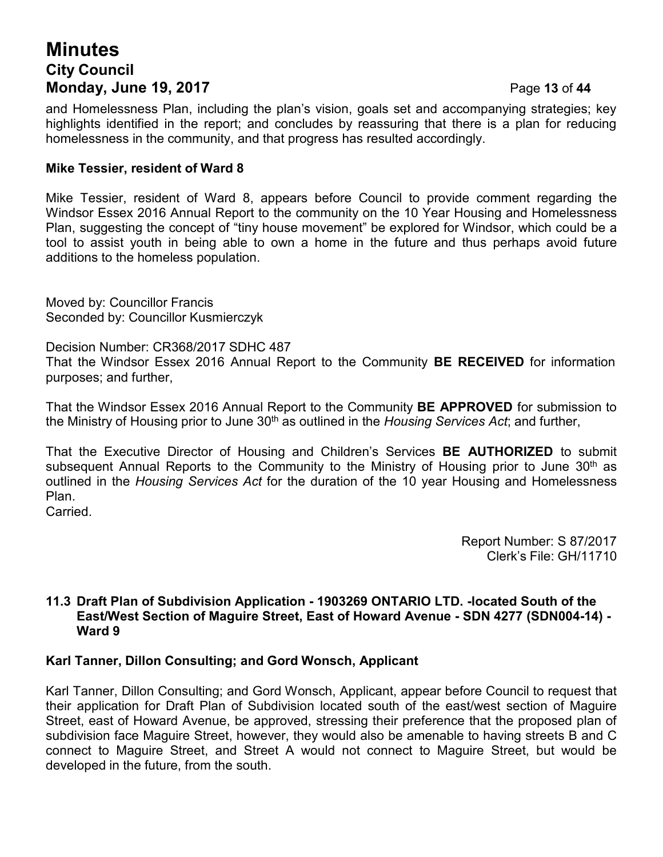# **Minutes City Council Monday, June 19, 2017** Page **13** of **44**

and Homelessness Plan, including the plan's vision, goals set and accompanying strategies; key highlights identified in the report; and concludes by reassuring that there is a plan for reducing homelessness in the community, and that progress has resulted accordingly.

#### **Mike Tessier, resident of Ward 8**

Mike Tessier, resident of Ward 8, appears before Council to provide comment regarding the Windsor Essex 2016 Annual Report to the community on the 10 Year Housing and Homelessness Plan, suggesting the concept of "tiny house movement" be explored for Windsor, which could be a tool to assist youth in being able to own a home in the future and thus perhaps avoid future additions to the homeless population.

Moved by: Councillor Francis Seconded by: Councillor Kusmierczyk

Decision Number: CR368/2017 SDHC 487 That the Windsor Essex 2016 Annual Report to the Community **BE RECEIVED** for information purposes; and further,

That the Windsor Essex 2016 Annual Report to the Community **BE APPROVED** for submission to the Ministry of Housing prior to June 30th as outlined in the *Housing Services Act*; and further,

That the Executive Director of Housing and Children's Services **BE AUTHORIZED** to submit subsequent Annual Reports to the Community to the Ministry of Housing prior to June  $30<sup>th</sup>$  as outlined in the *Housing Services Act* for the duration of the 10 year Housing and Homelessness Plan.

Carried.

Report Number: S 87/2017 Clerk's File: GH/11710

#### **11.3 Draft Plan of Subdivision Application - 1903269 ONTARIO LTD. -located South of the East/West Section of Maguire Street, East of Howard Avenue - SDN 4277 (SDN004-14) - Ward 9**

#### **Karl Tanner, Dillon Consulting; and Gord Wonsch, Applicant**

Karl Tanner, Dillon Consulting; and Gord Wonsch, Applicant, appear before Council to request that their application for Draft Plan of Subdivision located south of the east/west section of Maguire Street, east of Howard Avenue, be approved, stressing their preference that the proposed plan of subdivision face Maguire Street, however, they would also be amenable to having streets B and C connect to Maguire Street, and Street A would not connect to Maguire Street, but would be developed in the future, from the south.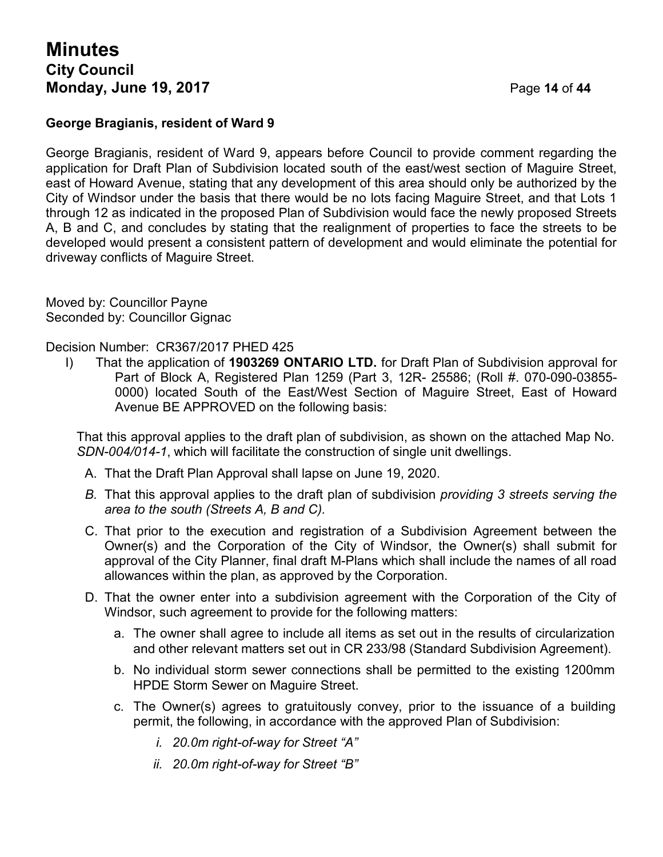# **Minutes City Council Monday, June 19, 2017** Page **14** of **44**

## **George Bragianis, resident of Ward 9**

George Bragianis, resident of Ward 9, appears before Council to provide comment regarding the application for Draft Plan of Subdivision located south of the east/west section of Maguire Street, east of Howard Avenue, stating that any development of this area should only be authorized by the City of Windsor under the basis that there would be no lots facing Maguire Street, and that Lots 1 through 12 as indicated in the proposed Plan of Subdivision would face the newly proposed Streets A, B and C, and concludes by stating that the realignment of properties to face the streets to be developed would present a consistent pattern of development and would eliminate the potential for driveway conflicts of Maguire Street.

Moved by: Councillor Payne Seconded by: Councillor Gignac

Decision Number: CR367/2017 PHED 425

I) That the application of **1903269 ONTARIO LTD.** for Draft Plan of Subdivision approval for Part of Block A, Registered Plan 1259 (Part 3, 12R- 25586; (Roll #. 070-090-03855- 0000) located South of the East/West Section of Maguire Street, East of Howard Avenue BE APPROVED on the following basis:

That this approval applies to the draft plan of subdivision, as shown on the attached Map No. *SDN-004/014-1*, which will facilitate the construction of single unit dwellings.

- A. That the Draft Plan Approval shall lapse on June 19, 2020.
- *B.* That this approval applies to the draft plan of subdivision *providing 3 streets serving the area to the south (Streets A, B and C).*
- C. That prior to the execution and registration of a Subdivision Agreement between the Owner(s) and the Corporation of the City of Windsor, the Owner(s) shall submit for approval of the City Planner, final draft M-Plans which shall include the names of all road allowances within the plan, as approved by the Corporation.
- D. That the owner enter into a subdivision agreement with the Corporation of the City of Windsor, such agreement to provide for the following matters:
	- a. The owner shall agree to include all items as set out in the results of circularization and other relevant matters set out in CR 233/98 (Standard Subdivision Agreement).
	- b. No individual storm sewer connections shall be permitted to the existing 1200mm HPDE Storm Sewer on Maguire Street.
	- c. The Owner(s) agrees to gratuitously convey, prior to the issuance of a building permit, the following, in accordance with the approved Plan of Subdivision:
		- *i. 20.0m right-of-way for Street "A"*
		- *ii. 20.0m right-of-way for Street "B"*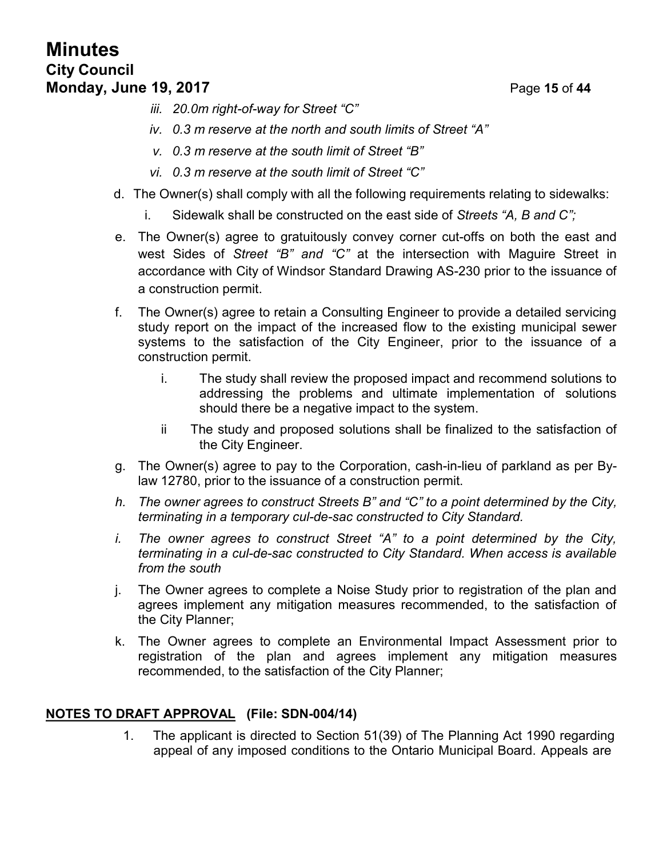# **Minutes City Council Monday, June 19, 2017** Page **15** of **44**

- *iii. 20.0m right-of-way for Street "C"*
- *iv. 0.3 m reserve at the north and south limits of Street "A"*
- *v. 0.3 m reserve at the south limit of Street "B"*
- *vi. 0.3 m reserve at the south limit of Street "C"*
- d. The Owner(s) shall comply with all the following requirements relating to sidewalks:
	- i. Sidewalk shall be constructed on the east side of *Streets "A, B and C";*
- e. The Owner(s) agree to gratuitously convey corner cut-offs on both the east and west Sides of *Street "B" and "C"* at the intersection with Maguire Street in accordance with City of Windsor Standard Drawing AS-230 prior to the issuance of a construction permit.
- f. The Owner(s) agree to retain a Consulting Engineer to provide a detailed servicing study report on the impact of the increased flow to the existing municipal sewer systems to the satisfaction of the City Engineer, prior to the issuance of a construction permit.
	- i. The study shall review the proposed impact and recommend solutions to addressing the problems and ultimate implementation of solutions should there be a negative impact to the system.
	- ii The study and proposed solutions shall be finalized to the satisfaction of the City Engineer.
- g. The Owner(s) agree to pay to the Corporation, cash-in-lieu of parkland as per Bylaw 12780, prior to the issuance of a construction permit.
- *h. The owner agrees to construct Streets B" and "C" to a point determined by the City, terminating in a temporary cul-de-sac constructed to City Standard.*
- *i. The owner agrees to construct Street "A" to a point determined by the City, terminating in a cul-de-sac constructed to City Standard. When access is available from the south*
- j. The Owner agrees to complete a Noise Study prior to registration of the plan and agrees implement any mitigation measures recommended, to the satisfaction of the City Planner;
- k. The Owner agrees to complete an Environmental Impact Assessment prior to registration of the plan and agrees implement any mitigation measures recommended, to the satisfaction of the City Planner;

#### **NOTES TO DRAFT APPROVAL (File: SDN-004/14)**

1. The applicant is directed to Section 51(39) of The Planning Act 1990 regarding appeal of any imposed conditions to the Ontario Municipal Board. Appeals are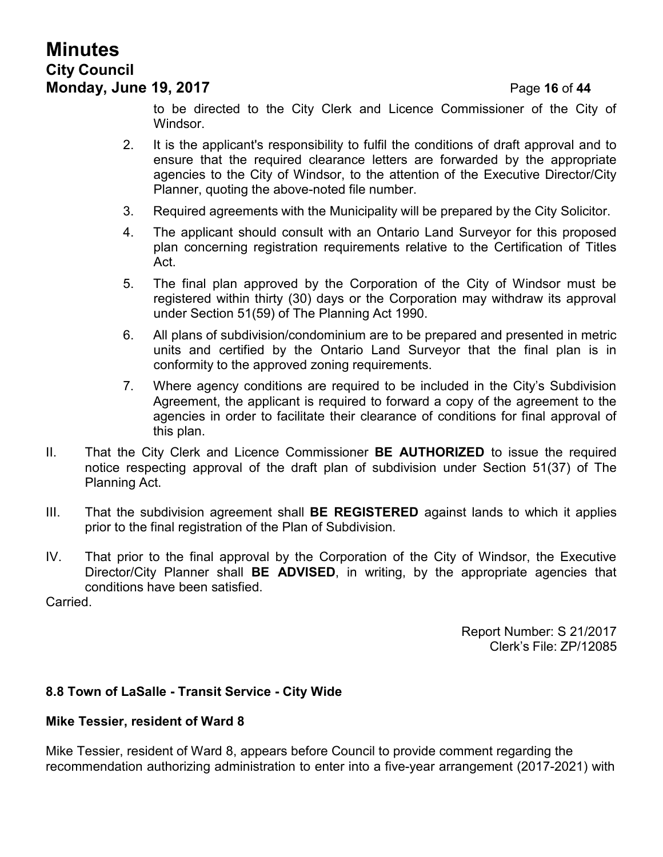# **Minutes City Council Monday, June 19, 2017** Page **16** of **44**

to be directed to the City Clerk and Licence Commissioner of the City of Windsor.

- 2. It is the applicant's responsibility to fulfil the conditions of draft approval and to ensure that the required clearance letters are forwarded by the appropriate agencies to the City of Windsor, to the attention of the Executive Director/City Planner, quoting the above-noted file number.
- 3. Required agreements with the Municipality will be prepared by the City Solicitor.
- 4. The applicant should consult with an Ontario Land Surveyor for this proposed plan concerning registration requirements relative to the Certification of Titles Act.
- 5. The final plan approved by the Corporation of the City of Windsor must be registered within thirty (30) days or the Corporation may withdraw its approval under Section 51(59) of The Planning Act 1990.
- 6. All plans of subdivision/condominium are to be prepared and presented in metric units and certified by the Ontario Land Surveyor that the final plan is in conformity to the approved zoning requirements.
- 7. Where agency conditions are required to be included in the City's Subdivision Agreement, the applicant is required to forward a copy of the agreement to the agencies in order to facilitate their clearance of conditions for final approval of this plan.
- II. That the City Clerk and Licence Commissioner **BE AUTHORIZED** to issue the required notice respecting approval of the draft plan of subdivision under Section 51(37) of The Planning Act.
- III. That the subdivision agreement shall **BE REGISTERED** against lands to which it applies prior to the final registration of the Plan of Subdivision.
- IV. That prior to the final approval by the Corporation of the City of Windsor, the Executive Director/City Planner shall **BE ADVISED**, in writing, by the appropriate agencies that conditions have been satisfied.

Carried.

Report Number: S 21/2017 Clerk's File: ZP/12085

## **8.8 Town of LaSalle - Transit Service - City Wide**

## **Mike Tessier, resident of Ward 8**

Mike Tessier, resident of Ward 8, appears before Council to provide comment regarding the recommendation authorizing administration to enter into a five-year arrangement (2017-2021) with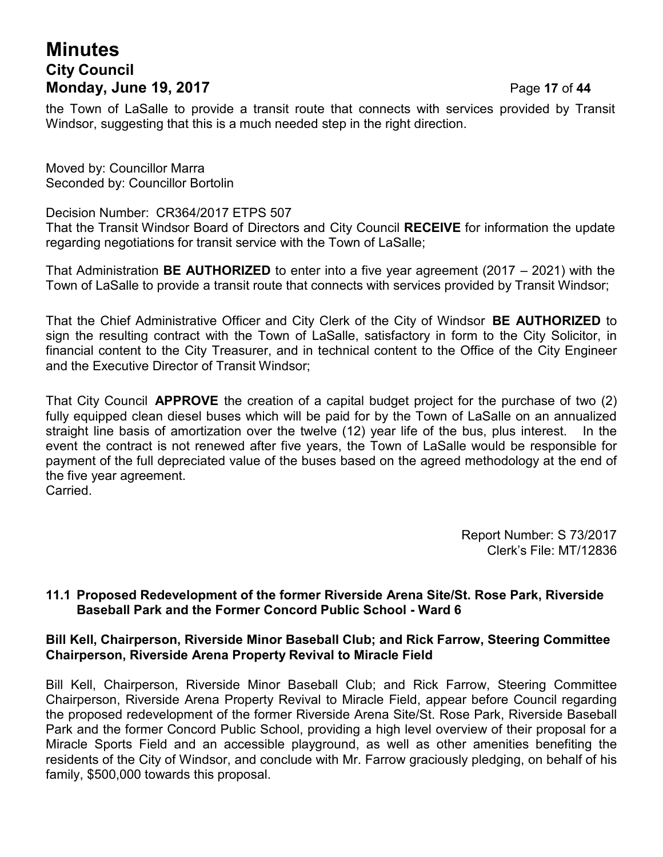# **Minutes City Council Monday, June 19, 2017** Page **17** of **44**

the Town of LaSalle to provide a transit route that connects with services provided by Transit Windsor, suggesting that this is a much needed step in the right direction.

Moved by: Councillor Marra Seconded by: Councillor Bortolin

#### Decision Number: CR364/2017 ETPS 507

That the Transit Windsor Board of Directors and City Council **RECEIVE** for information the update regarding negotiations for transit service with the Town of LaSalle;

That Administration **BE AUTHORIZED** to enter into a five year agreement (2017 – 2021) with the Town of LaSalle to provide a transit route that connects with services provided by Transit Windsor;

That the Chief Administrative Officer and City Clerk of the City of Windsor **BE AUTHORIZED** to sign the resulting contract with the Town of LaSalle, satisfactory in form to the City Solicitor, in financial content to the City Treasurer, and in technical content to the Office of the City Engineer and the Executive Director of Transit Windsor;

That City Council **APPROVE** the creation of a capital budget project for the purchase of two (2) fully equipped clean diesel buses which will be paid for by the Town of LaSalle on an annualized straight line basis of amortization over the twelve (12) year life of the bus, plus interest. In the event the contract is not renewed after five years, the Town of LaSalle would be responsible for payment of the full depreciated value of the buses based on the agreed methodology at the end of the five year agreement.

Carried.

Report Number: S 73/2017 Clerk's File: MT/12836

#### **11.1 Proposed Redevelopment of the former Riverside Arena Site/St. Rose Park, Riverside Baseball Park and the Former Concord Public School - Ward 6**

#### **Bill Kell, Chairperson, Riverside Minor Baseball Club; and Rick Farrow, Steering Committee Chairperson, Riverside Arena Property Revival to Miracle Field**

Bill Kell, Chairperson, Riverside Minor Baseball Club; and Rick Farrow, Steering Committee Chairperson, Riverside Arena Property Revival to Miracle Field, appear before Council regarding the proposed redevelopment of the former Riverside Arena Site/St. Rose Park, Riverside Baseball Park and the former Concord Public School, providing a high level overview of their proposal for a Miracle Sports Field and an accessible playground, as well as other amenities benefiting the residents of the City of Windsor, and conclude with Mr. Farrow graciously pledging, on behalf of his family, \$500,000 towards this proposal.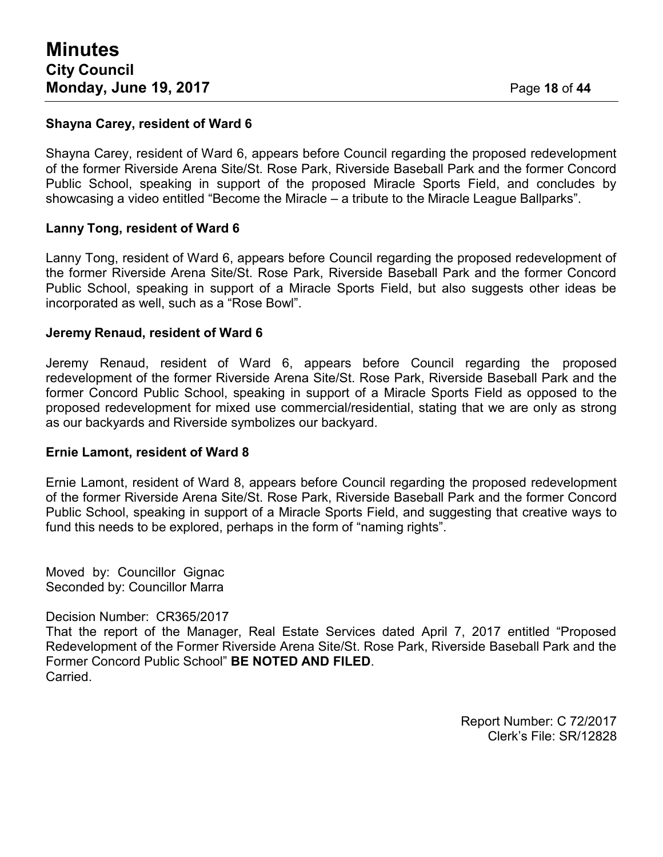#### **Shayna Carey, resident of Ward 6**

Shayna Carey, resident of Ward 6, appears before Council regarding the proposed redevelopment of the former Riverside Arena Site/St. Rose Park, Riverside Baseball Park and the former Concord Public School, speaking in support of the proposed Miracle Sports Field, and concludes by showcasing a video entitled "Become the Miracle – a tribute to the Miracle League Ballparks".

#### **Lanny Tong, resident of Ward 6**

Lanny Tong, resident of Ward 6, appears before Council regarding the proposed redevelopment of the former Riverside Arena Site/St. Rose Park, Riverside Baseball Park and the former Concord Public School, speaking in support of a Miracle Sports Field, but also suggests other ideas be incorporated as well, such as a "Rose Bowl".

#### **Jeremy Renaud, resident of Ward 6**

Jeremy Renaud, resident of Ward 6, appears before Council regarding the proposed redevelopment of the former Riverside Arena Site/St. Rose Park, Riverside Baseball Park and the former Concord Public School, speaking in support of a Miracle Sports Field as opposed to the proposed redevelopment for mixed use commercial/residential, stating that we are only as strong as our backyards and Riverside symbolizes our backyard.

#### **Ernie Lamont, resident of Ward 8**

Ernie Lamont, resident of Ward 8, appears before Council regarding the proposed redevelopment of the former Riverside Arena Site/St. Rose Park, Riverside Baseball Park and the former Concord Public School, speaking in support of a Miracle Sports Field, and suggesting that creative ways to fund this needs to be explored, perhaps in the form of "naming rights".

Moved by: Councillor Gignac Seconded by: Councillor Marra

Decision Number: CR365/2017

That the report of the Manager, Real Estate Services dated April 7, 2017 entitled "Proposed Redevelopment of the Former Riverside Arena Site/St. Rose Park, Riverside Baseball Park and the Former Concord Public School" **BE NOTED AND FILED**. Carried.

> Report Number: C 72/2017 Clerk's File: SR/12828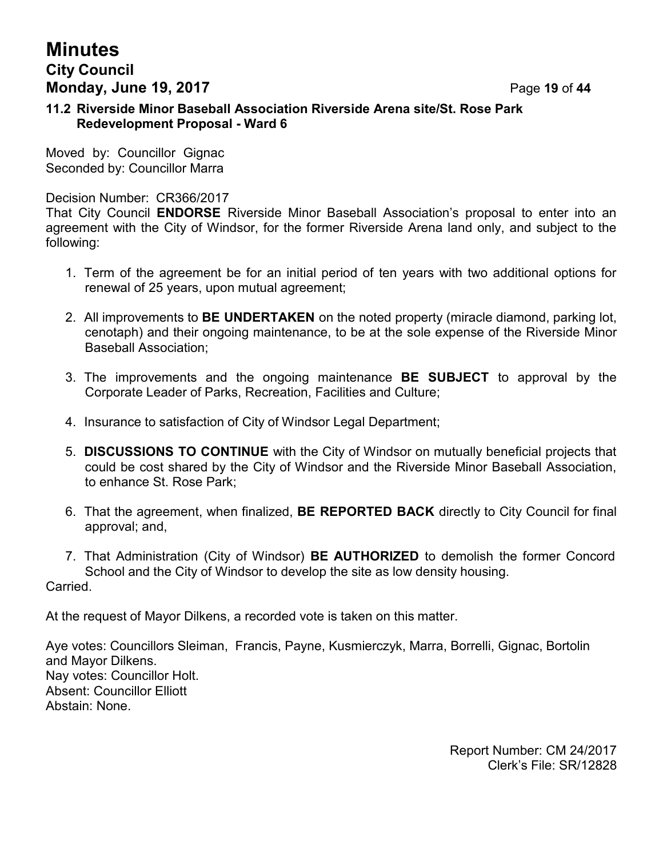## **Minutes City Council Monday, June 19, 2017** Page **19** of **44**

### **11.2 Riverside Minor Baseball Association Riverside Arena site/St. Rose Park Redevelopment Proposal - Ward 6**

Moved by: Councillor Gignac Seconded by: Councillor Marra

### Decision Number: CR366/2017

That City Council **ENDORSE** Riverside Minor Baseball Association's proposal to enter into an agreement with the City of Windsor, for the former Riverside Arena land only, and subject to the following:

- 1. Term of the agreement be for an initial period of ten years with two additional options for renewal of 25 years, upon mutual agreement;
- 2. All improvements to **BE UNDERTAKEN** on the noted property (miracle diamond, parking lot, cenotaph) and their ongoing maintenance, to be at the sole expense of the Riverside Minor Baseball Association;
- 3. The improvements and the ongoing maintenance **BE SUBJECT** to approval by the Corporate Leader of Parks, Recreation, Facilities and Culture;
- 4. Insurance to satisfaction of City of Windsor Legal Department;
- 5. **DISCUSSIONS TO CONTINUE** with the City of Windsor on mutually beneficial projects that could be cost shared by the City of Windsor and the Riverside Minor Baseball Association, to enhance St. Rose Park;
- 6. That the agreement, when finalized, **BE REPORTED BACK** directly to City Council for final approval; and,
- 7. That Administration (City of Windsor) **BE AUTHORIZED** to demolish the former Concord School and the City of Windsor to develop the site as low density housing. Carried.

At the request of Mayor Dilkens, a recorded vote is taken on this matter.

Aye votes: Councillors Sleiman, Francis, Payne, Kusmierczyk, Marra, Borrelli, Gignac, Bortolin and Mayor Dilkens. Nay votes: Councillor Holt. Absent: Councillor Elliott Abstain: None.

> Report Number: CM 24/2017 Clerk's File: SR/12828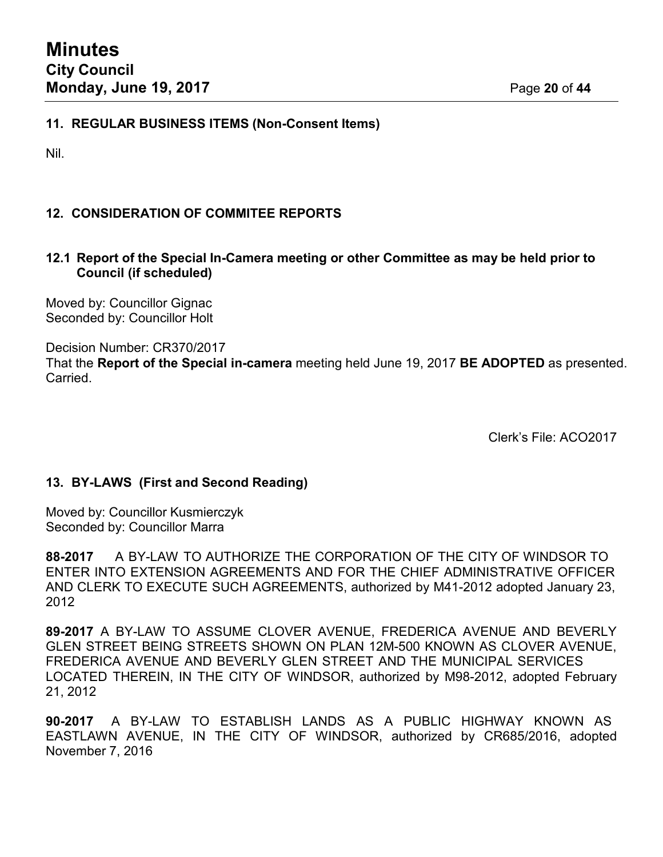#### **11. REGULAR BUSINESS ITEMS (Non-Consent Items)**

Nil.

#### **12. CONSIDERATION OF COMMITEE REPORTS**

#### **12.1 Report of the Special In-Camera meeting or other Committee as may be held prior to Council (if scheduled)**

Moved by: Councillor Gignac Seconded by: Councillor Holt

Decision Number: CR370/2017

That the **Report of the Special in-camera** meeting held June 19, 2017 **BE ADOPTED** as presented. Carried.

Clerk's File: ACO2017

#### **13. BY-LAWS (First and Second Reading)**

Moved by: Councillor Kusmierczyk Seconded by: Councillor Marra

**88-2017** A BY-LAW TO AUTHORIZE THE CORPORATION OF THE CITY OF WINDSOR TO ENTER INTO EXTENSION AGREEMENTS AND FOR THE CHIEF ADMINISTRATIVE OFFICER AND CLERK TO EXECUTE SUCH AGREEMENTS, authorized by M41-2012 adopted January 23, 2012

**89-2017** A BY-LAW TO ASSUME CLOVER AVENUE, FREDERICA AVENUE AND BEVERLY GLEN STREET BEING STREETS SHOWN ON PLAN 12M-500 KNOWN AS CLOVER AVENUE, FREDERICA AVENUE AND BEVERLY GLEN STREET AND THE MUNICIPAL SERVICES LOCATED THEREIN, IN THE CITY OF WINDSOR, authorized by M98-2012, adopted February 21, 2012

**90-2017** A BY-LAW TO ESTABLISH LANDS AS A PUBLIC HIGHWAY KNOWN AS EASTLAWN AVENUE, IN THE CITY OF WINDSOR, authorized by CR685/2016, adopted November 7, 2016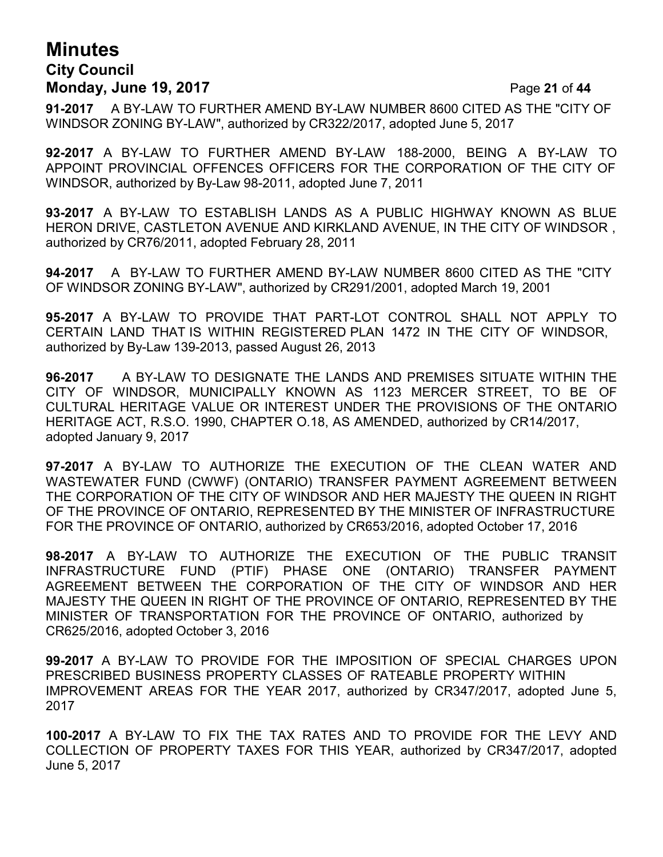# **Minutes City Council Monday, June 19, 2017** Page **21** of **44**

**91-2017** A BY-LAW TO FURTHER AMEND BY-LAW NUMBER 8600 CITED AS THE "CITY OF WINDSOR ZONING BY-LAW", authorized by CR322/2017, adopted June 5, 2017

**92-2017** A BY-LAW TO FURTHER AMEND BY-LAW 188-2000, BEING A BY-LAW TO APPOINT PROVINCIAL OFFENCES OFFICERS FOR THE CORPORATION OF THE CITY OF WINDSOR, authorized by By-Law 98-2011, adopted June 7, 2011

**93-2017** A BY-LAW TO ESTABLISH LANDS AS A PUBLIC HIGHWAY KNOWN AS BLUE HERON DRIVE, CASTLETON AVENUE AND KIRKLAND AVENUE, IN THE CITY OF WINDSOR , authorized by CR76/2011, adopted February 28, 2011

**94-2017** A BY-LAW TO FURTHER AMEND BY-LAW NUMBER 8600 CITED AS THE "CITY OF WINDSOR ZONING BY-LAW", authorized by CR291/2001, adopted March 19, 2001

**95-2017** A BY-LAW TO PROVIDE THAT PART-LOT CONTROL SHALL NOT APPLY TO CERTAIN LAND THAT IS WITHIN REGISTERED PLAN 1472 IN THE CITY OF WINDSOR, authorized by By-Law 139-2013, passed August 26, 2013

**96-2017** A BY-LAW TO DESIGNATE THE LANDS AND PREMISES SITUATE WITHIN THE CITY OF WINDSOR, MUNICIPALLY KNOWN AS 1123 MERCER STREET, TO BE OF CULTURAL HERITAGE VALUE OR INTEREST UNDER THE PROVISIONS OF THE ONTARIO HERITAGE ACT, R.S.O. 1990, CHAPTER O.18, AS AMENDED, authorized by CR14/2017, adopted January 9, 2017

**97-2017** A BY-LAW TO AUTHORIZE THE EXECUTION OF THE CLEAN WATER AND WASTEWATER FUND (CWWF) (ONTARIO) TRANSFER PAYMENT AGREEMENT BETWEEN THE CORPORATION OF THE CITY OF WINDSOR AND HER MAJESTY THE QUEEN IN RIGHT OF THE PROVINCE OF ONTARIO, REPRESENTED BY THE MINISTER OF INFRASTRUCTURE FOR THE PROVINCE OF ONTARIO, authorized by CR653/2016, adopted October 17, 2016

**98-2017** A BY-LAW TO AUTHORIZE THE EXECUTION OF THE PUBLIC TRANSIT INFRASTRUCTURE FUND (PTIF) PHASE ONE (ONTARIO) TRANSFER PAYMENT AGREEMENT BETWEEN THE CORPORATION OF THE CITY OF WINDSOR AND HER MAJESTY THE QUEEN IN RIGHT OF THE PROVINCE OF ONTARIO, REPRESENTED BY THE MINISTER OF TRANSPORTATION FOR THE PROVINCE OF ONTARIO, authorized by CR625/2016, adopted October 3, 2016

**99-2017** A BY-LAW TO PROVIDE FOR THE IMPOSITION OF SPECIAL CHARGES UPON PRESCRIBED BUSINESS PROPERTY CLASSES OF RATEABLE PROPERTY WITHIN IMPROVEMENT AREAS FOR THE YEAR 2017, authorized by CR347/2017, adopted June 5, 2017

**100-2017** A BY-LAW TO FIX THE TAX RATES AND TO PROVIDE FOR THE LEVY AND COLLECTION OF PROPERTY TAXES FOR THIS YEAR, authorized by CR347/2017, adopted June 5, 2017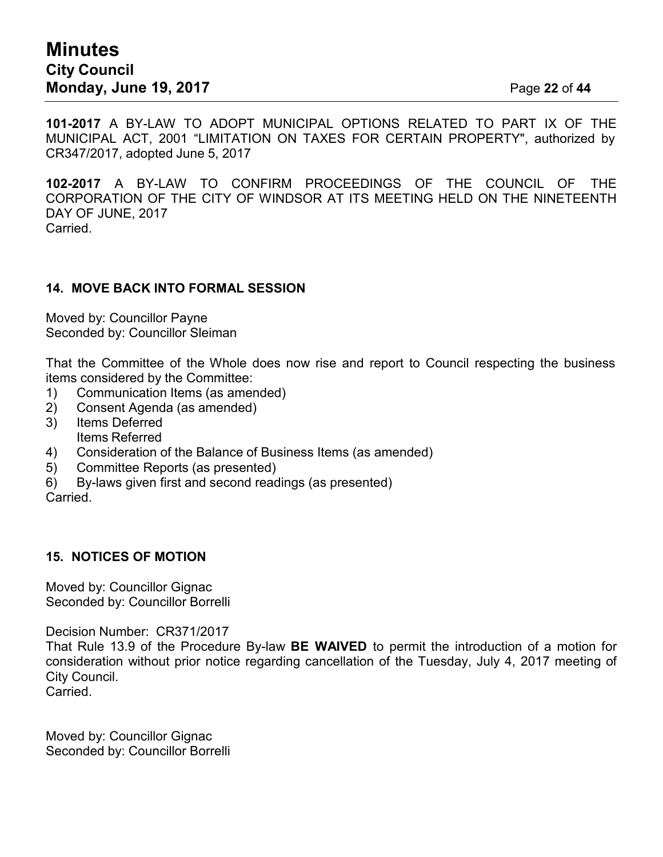**101-2017** A BY-LAW TO ADOPT MUNICIPAL OPTIONS RELATED TO PART IX OF THE MUNICIPAL ACT, 2001 "LIMITATION ON TAXES FOR CERTAIN PROPERTY", authorized by CR347/2017, adopted June 5, 2017

**102-2017** A BY-LAW TO CONFIRM PROCEEDINGS OF THE COUNCIL OF THE CORPORATION OF THE CITY OF WINDSOR AT ITS MEETING HELD ON THE NINETEENTH DAY OF JUNE, 2017 Carried.

## **14. MOVE BACK INTO FORMAL SESSION**

Moved by: Councillor Payne Seconded by: Councillor Sleiman

That the Committee of the Whole does now rise and report to Council respecting the business items considered by the Committee:

- 1) Communication Items (as amended)
- 2) Consent Agenda (as amended)
- 3) Items Deferred Items Referred
- 4) Consideration of the Balance of Business Items (as amended)
- 5) Committee Reports (as presented)
- 6) By-laws given first and second readings (as presented)

**Carried** 

#### **15. NOTICES OF MOTION**

Moved by: Councillor Gignac Seconded by: Councillor Borrelli

Decision Number: CR371/2017

That Rule 13.9 of the Procedure By-law **BE WAIVED** to permit the introduction of a motion for consideration without prior notice regarding cancellation of the Tuesday, July 4, 2017 meeting of City Council.

Carried.

Moved by: Councillor Gignac Seconded by: Councillor Borrelli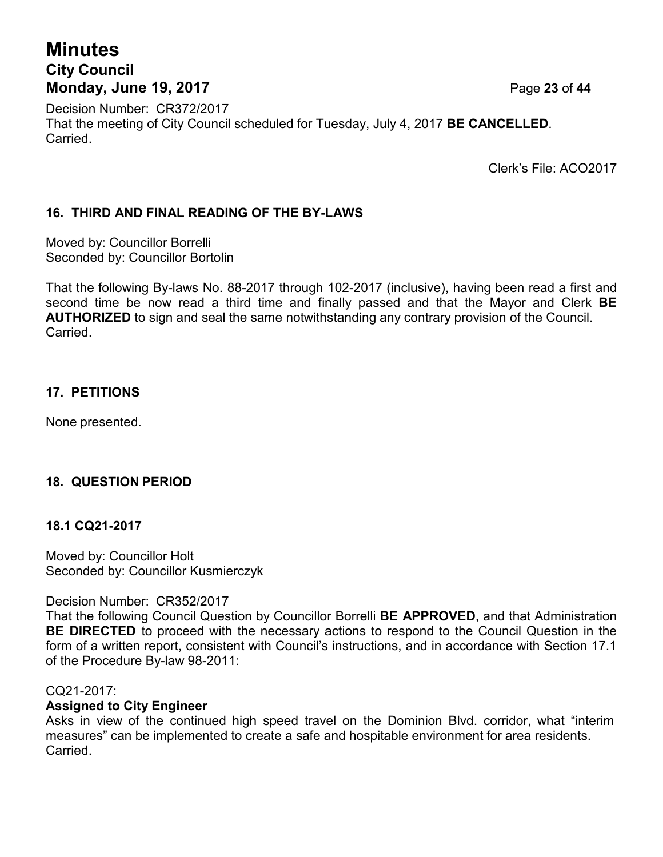# **Minutes City Council Monday, June 19, 2017** Page **23** of **44**

Decision Number: CR372/2017 That the meeting of City Council scheduled for Tuesday, July 4, 2017 **BE CANCELLED**. Carried.

Clerk's File: ACO2017

## **16. THIRD AND FINAL READING OF THE BY-LAWS**

Moved by: Councillor Borrelli Seconded by: Councillor Bortolin

That the following By-laws No. 88-2017 through 102-2017 (inclusive), having been read a first and second time be now read a third time and finally passed and that the Mayor and Clerk **BE AUTHORIZED** to sign and seal the same notwithstanding any contrary provision of the Council. Carried.

## **17. PETITIONS**

None presented.

## **18. QUESTION PERIOD**

## **18.1 CQ21-2017**

Moved by: Councillor Holt Seconded by: Councillor Kusmierczyk

#### Decision Number: CR352/2017

That the following Council Question by Councillor Borrelli **BE APPROVED**, and that Administration **BE DIRECTED** to proceed with the necessary actions to respond to the Council Question in the form of a written report, consistent with Council's instructions, and in accordance with Section 17.1 of the Procedure By-law 98-2011:

#### CQ21-2017:

#### **Assigned to City Engineer**

Asks in view of the continued high speed travel on the Dominion Blvd. corridor, what "interim measures" can be implemented to create a safe and hospitable environment for area residents. **Carried**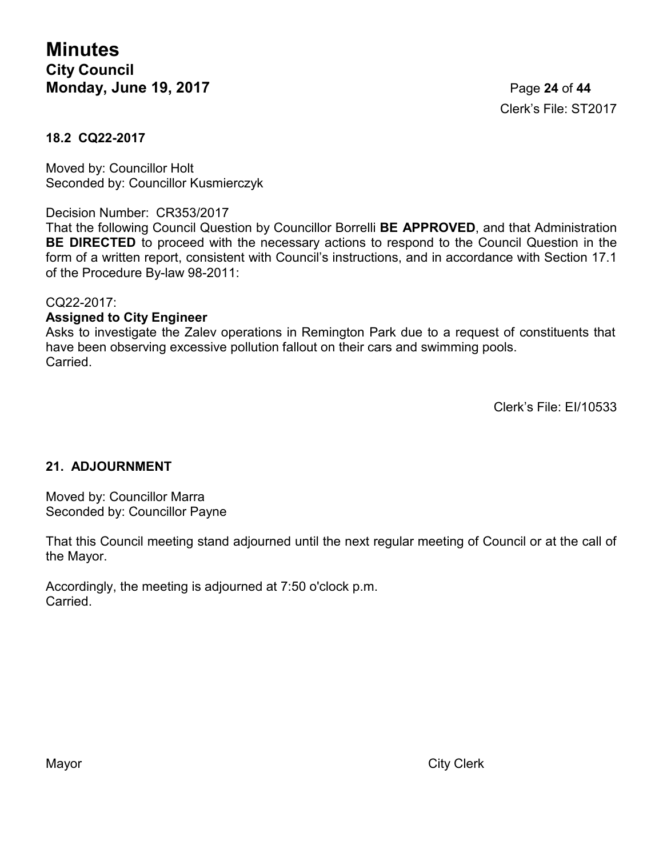Clerk's File: ST2017

## **18.2 CQ22-2017**

Moved by: Councillor Holt Seconded by: Councillor Kusmierczyk

Decision Number: CR353/2017

That the following Council Question by Councillor Borrelli **BE APPROVED**, and that Administration **BE DIRECTED** to proceed with the necessary actions to respond to the Council Question in the form of a written report, consistent with Council's instructions, and in accordance with Section 17.1 of the Procedure By-law 98-2011:

#### CQ22-2017:

#### **Assigned to City Engineer**

Asks to investigate the Zalev operations in Remington Park due to a request of constituents that have been observing excessive pollution fallout on their cars and swimming pools. Carried.

Clerk's File: EI/10533

## **21. ADJOURNMENT**

Moved by: Councillor Marra Seconded by: Councillor Payne

That this Council meeting stand adjourned until the next regular meeting of Council or at the call of the Mayor.

Accordingly, the meeting is adjourned at 7:50 o'clock p.m. **Carried**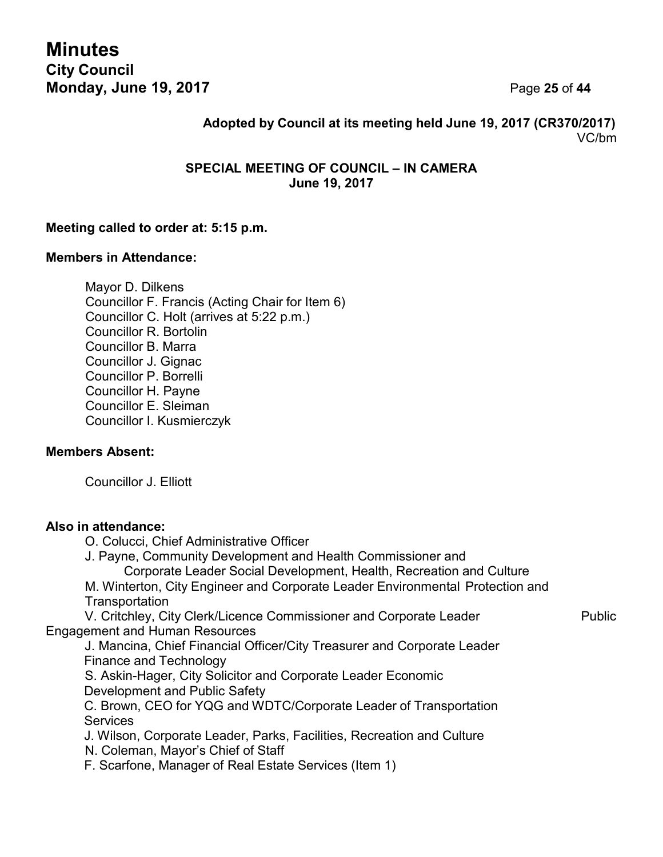**Minutes City Council Monday, June 19, 2017** Page **25** of **44**

**Adopted by Council at its meeting held June 19, 2017 (CR370/2017)** VC/bm

#### **SPECIAL MEETING OF COUNCIL – IN CAMERA June 19, 2017**

#### **Meeting called to order at: 5:15 p.m.**

#### **Members in Attendance:**

Mayor D. Dilkens Councillor F. Francis (Acting Chair for Item 6) Councillor C. Holt (arrives at 5:22 p.m.) Councillor R. Bortolin Councillor B. Marra Councillor J. Gignac Councillor P. Borrelli Councillor H. Payne Councillor E. Sleiman Councillor I. Kusmierczyk

#### **Members Absent:**

Councillor J. Elliott

#### **Also in attendance:**

O. Colucci, Chief Administrative Officer

J. Payne, Community Development and Health Commissioner and

Corporate Leader Social Development, Health, Recreation and Culture

M. Winterton, City Engineer and Corporate Leader Environmental Protection and **Transportation** 

V. Critchley, City Clerk/Licence Commissioner and Corporate Leader Public Engagement and Human Resources

J. Mancina, Chief Financial Officer/City Treasurer and Corporate Leader Finance and Technology

S. Askin-Hager, City Solicitor and Corporate Leader Economic Development and Public Safety

C. Brown, CEO for YQG and WDTC/Corporate Leader of Transportation **Services** 

J. Wilson, Corporate Leader, Parks, Facilities, Recreation and Culture

N. Coleman, Mayor's Chief of Staff

F. Scarfone, Manager of Real Estate Services (Item 1)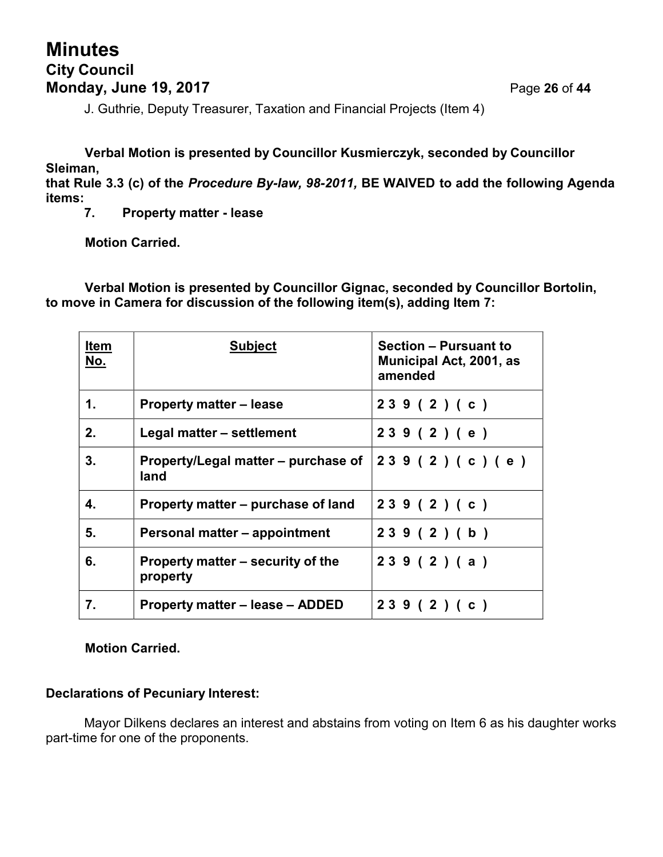# **Minutes City Council Monday, June 19, 2017** Page **26** of **44**

J. Guthrie, Deputy Treasurer, Taxation and Financial Projects (Item 4)

**Verbal Motion is presented by Councillor Kusmierczyk, seconded by Councillor Sleiman, that Rule 3.3 (c) of the** *Procedure By-law, 98-2011,* **BE WAIVED to add the following Agenda**

**items:**

**7. Property matter - lease**

**Motion Carried.**

**Verbal Motion is presented by Councillor Gignac, seconded by Councillor Bortolin, to move in Camera for discussion of the following item(s), adding Item 7:**

| <b>Item</b><br>No. | <b>Subject</b>                                | Section - Pursuant to<br><b>Municipal Act, 2001, as</b><br>amended |
|--------------------|-----------------------------------------------|--------------------------------------------------------------------|
| 1.                 | <b>Property matter – lease</b>                | 239(2)(c)                                                          |
| 2.                 | Legal matter - settlement                     | 239 (2) (e)                                                        |
| 3.                 | Property/Legal matter – purchase of<br>land   | 239(2)(c)(e)                                                       |
| 4.                 | Property matter – purchase of land            | 239 (2) (c)                                                        |
| 5.                 | Personal matter – appointment                 | 239(2)(b)                                                          |
| 6.                 | Property matter – security of the<br>property | 239(2)(a)                                                          |
| 7.                 | Property matter – lease – ADDED               | 239(2)(c)                                                          |

#### **Motion Carried.**

#### **Declarations of Pecuniary Interest:**

Mayor Dilkens declares an interest and abstains from voting on Item 6 as his daughter works part-time for one of the proponents.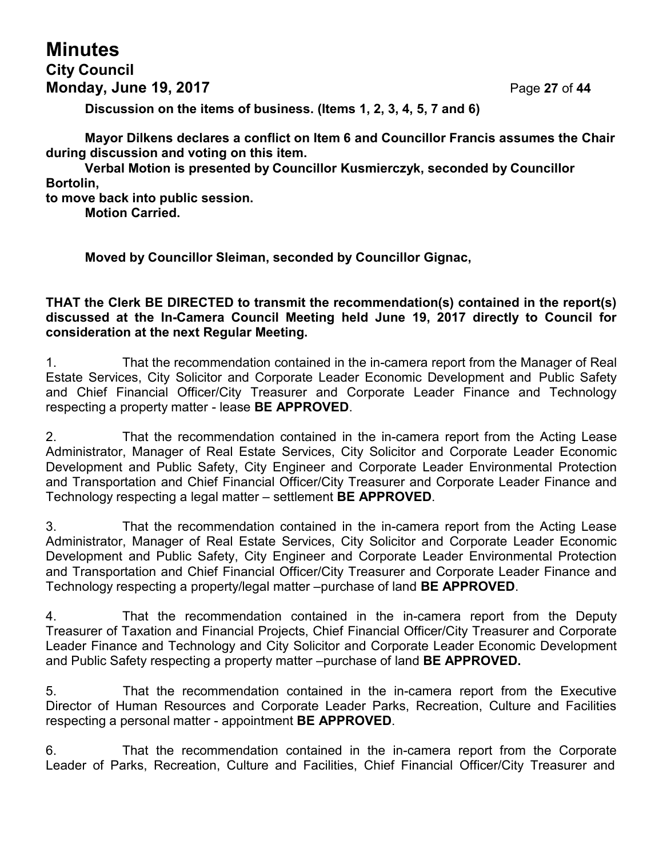# **Minutes**

## **City Council Monday, June 19, 2017** Page **27** of **44**

**Discussion on the items of business. (Items 1, 2, 3, 4, 5, 7 and 6)**

**Mayor Dilkens declares a conflict on Item 6 and Councillor Francis assumes the Chair during discussion and voting on this item.**

**Verbal Motion is presented by Councillor Kusmierczyk, seconded by Councillor Bortolin,**

**to move back into public session.**

**Motion Carried.**

**Moved by Councillor Sleiman, seconded by Councillor Gignac,**

**THAT the Clerk BE DIRECTED to transmit the recommendation(s) contained in the report(s) discussed at the In-Camera Council Meeting held June 19, 2017 directly to Council for consideration at the next Regular Meeting.**

1. That the recommendation contained in the in-camera report from the Manager of Real Estate Services, City Solicitor and Corporate Leader Economic Development and Public Safety and Chief Financial Officer/City Treasurer and Corporate Leader Finance and Technology respecting a property matter - lease **BE APPROVED**.

2. That the recommendation contained in the in-camera report from the Acting Lease Administrator, Manager of Real Estate Services, City Solicitor and Corporate Leader Economic Development and Public Safety, City Engineer and Corporate Leader Environmental Protection and Transportation and Chief Financial Officer/City Treasurer and Corporate Leader Finance and Technology respecting a legal matter – settlement **BE APPROVED**.

3. That the recommendation contained in the in-camera report from the Acting Lease Administrator, Manager of Real Estate Services, City Solicitor and Corporate Leader Economic Development and Public Safety, City Engineer and Corporate Leader Environmental Protection and Transportation and Chief Financial Officer/City Treasurer and Corporate Leader Finance and Technology respecting a property/legal matter –purchase of land **BE APPROVED**.

4. That the recommendation contained in the in-camera report from the Deputy Treasurer of Taxation and Financial Projects, Chief Financial Officer/City Treasurer and Corporate Leader Finance and Technology and City Solicitor and Corporate Leader Economic Development and Public Safety respecting a property matter –purchase of land **BE APPROVED.**

5. That the recommendation contained in the in-camera report from the Executive Director of Human Resources and Corporate Leader Parks, Recreation, Culture and Facilities respecting a personal matter - appointment **BE APPROVED**.

6. That the recommendation contained in the in-camera report from the Corporate Leader of Parks, Recreation, Culture and Facilities, Chief Financial Officer/City Treasurer and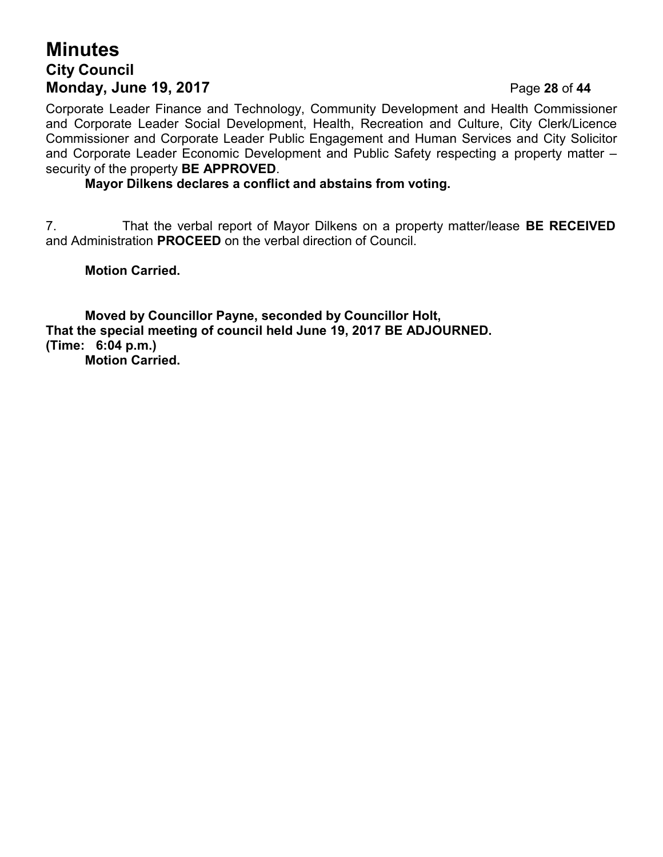# **Minutes City Council Monday, June 19, 2017** Page **28** of **44**

Corporate Leader Finance and Technology, Community Development and Health Commissioner and Corporate Leader Social Development, Health, Recreation and Culture, City Clerk/Licence Commissioner and Corporate Leader Public Engagement and Human Services and City Solicitor and Corporate Leader Economic Development and Public Safety respecting a property matter – security of the property **BE APPROVED**.

### **Mayor Dilkens declares a conflict and abstains from voting.**

7. That the verbal report of Mayor Dilkens on a property matter/lease **BE RECEIVED** and Administration **PROCEED** on the verbal direction of Council.

**Motion Carried.**

**Moved by Councillor Payne, seconded by Councillor Holt, That the special meeting of council held June 19, 2017 BE ADJOURNED. (Time: 6:04 p.m.)**

**Motion Carried.**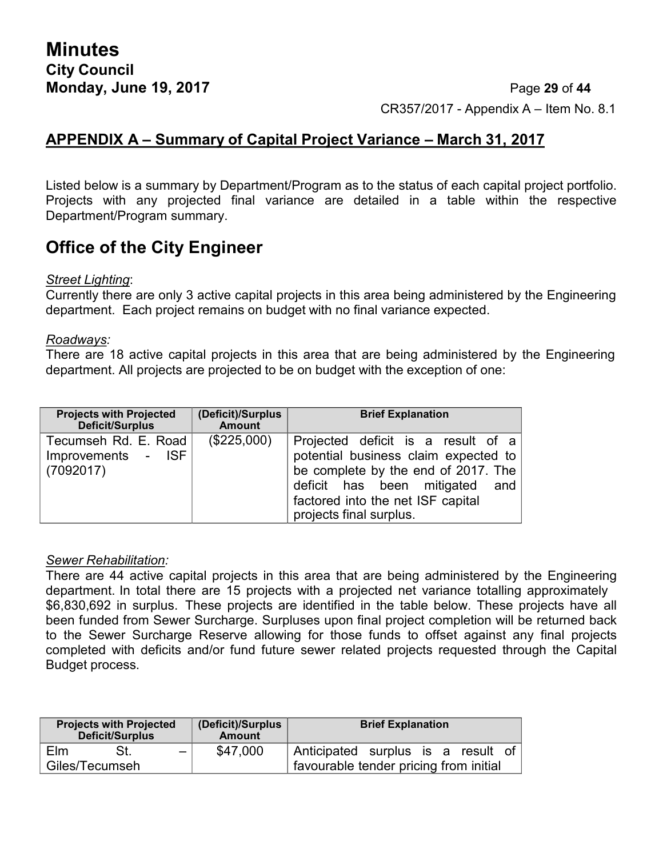CR357/2017 - Appendix A – Item No. 8.1

## **APPENDIX A – Summary of Capital Project Variance – March 31, 2017**

Listed below is a summary by Department/Program as to the status of each capital project portfolio. Projects with any projected final variance are detailed in a table within the respective Department/Program summary.

# **Office of the City Engineer**

#### *Street Lighting*:

Currently there are only 3 active capital projects in this area being administered by the Engineering department. Each project remains on budget with no final variance expected.

#### *Roadways:*

There are 18 active capital projects in this area that are being administered by the Engineering department. All projects are projected to be on budget with the exception of one:

| <b>Projects with Projected</b><br><b>Deficit/Surplus</b> | (Deficit)/Surplus<br><b>Amount</b> | <b>Brief Explanation</b>                                                                                                                                                                                            |
|----------------------------------------------------------|------------------------------------|---------------------------------------------------------------------------------------------------------------------------------------------------------------------------------------------------------------------|
| Tecumseh Rd. E. Road<br>Improvements - ISF<br>(7092017)  | (\$225,000)                        | Projected deficit is a result of a<br>potential business claim expected to<br>be complete by the end of 2017. The<br>deficit has been mitigated and<br>factored into the net ISF capital<br>projects final surplus. |

#### *Sewer Rehabilitation:*

There are 44 active capital projects in this area that are being administered by the Engineering department. In total there are 15 projects with a projected net variance totalling approximately \$6,830,692 in surplus. These projects are identified in the table below. These projects have all been funded from Sewer Surcharge. Surpluses upon final project completion will be returned back to the Sewer Surcharge Reserve allowing for those funds to offset against any final projects completed with deficits and/or fund future sewer related projects requested through the Capital Budget process.

| <b>Projects with Projected</b><br><b>Deficit/Surplus</b> |  | (Deficit)/Surplus<br><b>Amount</b> | <b>Brief Explanation</b>               |                                    |
|----------------------------------------------------------|--|------------------------------------|----------------------------------------|------------------------------------|
| Elm                                                      |  | $\overline{\phantom{0}}$           | \$47,000                               | Anticipated surplus is a result of |
| Giles/Tecumseh                                           |  |                                    | favourable tender pricing from initial |                                    |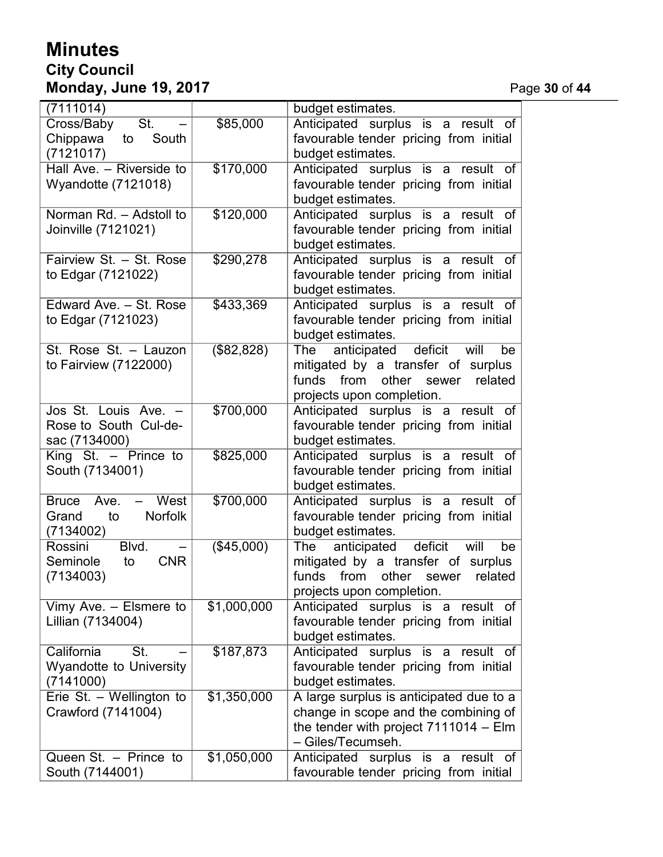# **Minutes City Council Monday, June 19, 2017** Page **30** of **44**

| (7111014)                                                |             | budget estimates.                        |
|----------------------------------------------------------|-------------|------------------------------------------|
| St.<br>Cross/Baby                                        | \$85,000    | Anticipated surplus is a result of       |
| Chippawa<br>South<br>to                                  |             | favourable tender pricing from initial   |
| (7121017)                                                |             | budget estimates.                        |
| Hall Ave. - Riverside to                                 | \$170,000   | Anticipated surplus is a result of       |
| Wyandotte (7121018)                                      |             | favourable tender pricing from initial   |
|                                                          |             | budget estimates.                        |
| Norman Rd. - Adstoll to                                  | \$120,000   | Anticipated surplus is a result of       |
| Joinville (7121021)                                      |             | favourable tender pricing from initial   |
|                                                          |             | budget estimates.                        |
| Fairview St. - St. Rose                                  | \$290,278   | Anticipated surplus is a result of       |
| to Edgar (7121022)                                       |             | favourable tender pricing from initial   |
|                                                          |             | budget estimates.                        |
| Edward Ave. - St. Rose                                   | \$433,369   | Anticipated surplus is a result of       |
| to Edgar (7121023)                                       |             | favourable tender pricing from initial   |
|                                                          |             | budget estimates.                        |
| St. Rose St. - Lauzon                                    | (\$82,828)  | The anticipated deficit<br>will<br>be    |
| to Fairview (7122000)                                    |             | mitigated by a transfer of surplus       |
|                                                          |             | funds from other sewer related           |
|                                                          |             | projects upon completion.                |
| Jos St. Louis Ave. -                                     | \$700,000   | Anticipated surplus is a result of       |
| Rose to South Cul-de-                                    |             | favourable tender pricing from initial   |
| sac (7134000)                                            |             | budget estimates.                        |
| King St. $-$ Prince to                                   | \$825,000   | Anticipated surplus is a result of       |
| South (7134001)                                          |             | favourable tender pricing from initial   |
|                                                          |             | budget estimates.                        |
| West<br><b>Bruce</b><br>Ave.<br>$\overline{\phantom{m}}$ | \$700,000   | Anticipated surplus is a result of       |
| Norfolk<br>to<br>Grand                                   |             | favourable tender pricing from initial   |
| (7134002)                                                |             | budget estimates.                        |
| Blvd.<br>Rossini                                         | (\$45,000)  | deficit<br>will<br>The anticipated<br>be |
| to<br><b>CNR</b><br>Seminole                             |             | mitigated by a transfer of surplus       |
| (7134003)                                                |             | funds from other<br>related<br>sewer     |
|                                                          |             | projects upon completion.                |
| Vimy Ave. - Elsmere to                                   | \$1,000,000 | Anticipated surplus is a result of       |
| Lillian (7134004)                                        |             | favourable tender pricing from initial   |
|                                                          |             | budget estimates.                        |
| California<br>St.                                        | \$187,873   | Anticipated surplus is a result of       |
| <b>Wyandotte to University</b>                           |             | favourable tender pricing from initial   |
| (7141000)                                                |             | budget estimates.                        |
| Erie St. - Wellington to                                 | \$1,350,000 | A large surplus is anticipated due to a  |
| Crawford (7141004)                                       |             | change in scope and the combining of     |
|                                                          |             | the tender with project $7111014 - Elm$  |
|                                                          |             | - Giles/Tecumseh.                        |
| Queen St. $-$ Prince to                                  | \$1,050,000 | Anticipated surplus is a result of       |
| South (7144001)                                          |             | favourable tender pricing from initial   |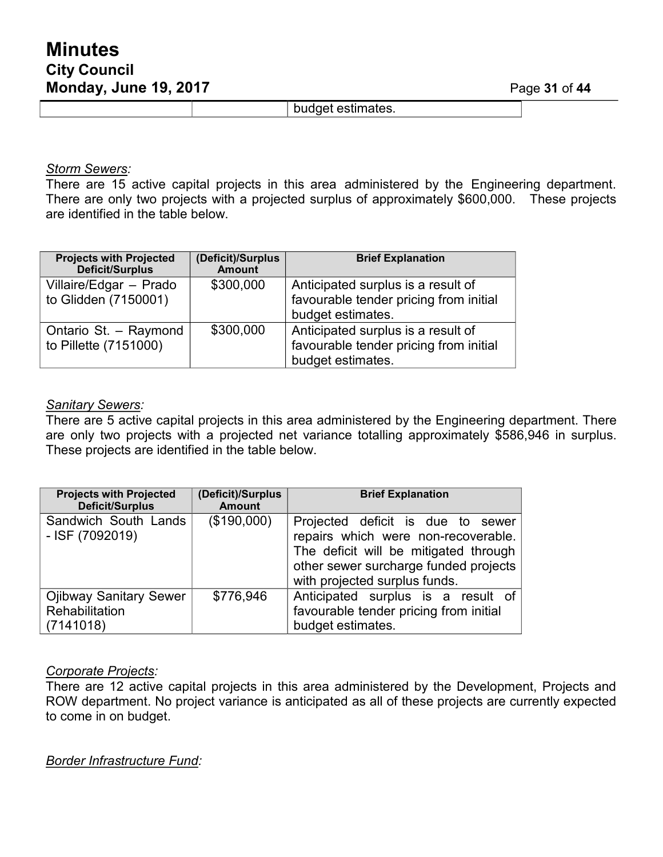## **Minutes City Council Monday, June 19, 2017** Page **31** of **44**

budget estimates.

#### *Storm Sewers:*

There are 15 active capital projects in this area administered by the Engineering department. There are only two projects with a projected surplus of approximately \$600,000. These projects are identified in the table below.

| <b>Projects with Projected</b><br><b>Deficit/Surplus</b> | (Deficit)/Surplus<br><b>Amount</b> | <b>Brief Explanation</b>                                                                          |
|----------------------------------------------------------|------------------------------------|---------------------------------------------------------------------------------------------------|
| Villaire/Edgar - Prado<br>to Glidden (7150001)           | \$300,000                          | Anticipated surplus is a result of<br>favourable tender pricing from initial<br>budget estimates. |
| Ontario St. - Raymond<br>to Pillette (7151000)           | \$300,000                          | Anticipated surplus is a result of<br>favourable tender pricing from initial<br>budget estimates. |

#### *Sanitary Sewers:*

There are 5 active capital projects in this area administered by the Engineering department. There are only two projects with a projected net variance totalling approximately \$586,946 in surplus. These projects are identified in the table below.

| <b>Projects with Projected</b><br><b>Deficit/Surplus</b>     | (Deficit)/Surplus<br><b>Amount</b> | <b>Brief Explanation</b>                                                                                                                                                                    |
|--------------------------------------------------------------|------------------------------------|---------------------------------------------------------------------------------------------------------------------------------------------------------------------------------------------|
| Sandwich South Lands<br>- ISF (7092019)                      | (\$190,000)                        | Projected deficit is due to sewer<br>repairs which were non-recoverable.<br>The deficit will be mitigated through<br>other sewer surcharge funded projects<br>with projected surplus funds. |
| <b>Ojibway Sanitary Sewer</b><br>Rehabilitation<br>(7141018) | \$776,946                          | Anticipated surplus is a result of<br>favourable tender pricing from initial<br>budget estimates.                                                                                           |

#### *Corporate Projects:*

There are 12 active capital projects in this area administered by the Development, Projects and ROW department. No project variance is anticipated as all of these projects are currently expected to come in on budget.

*Border Infrastructure Fund:*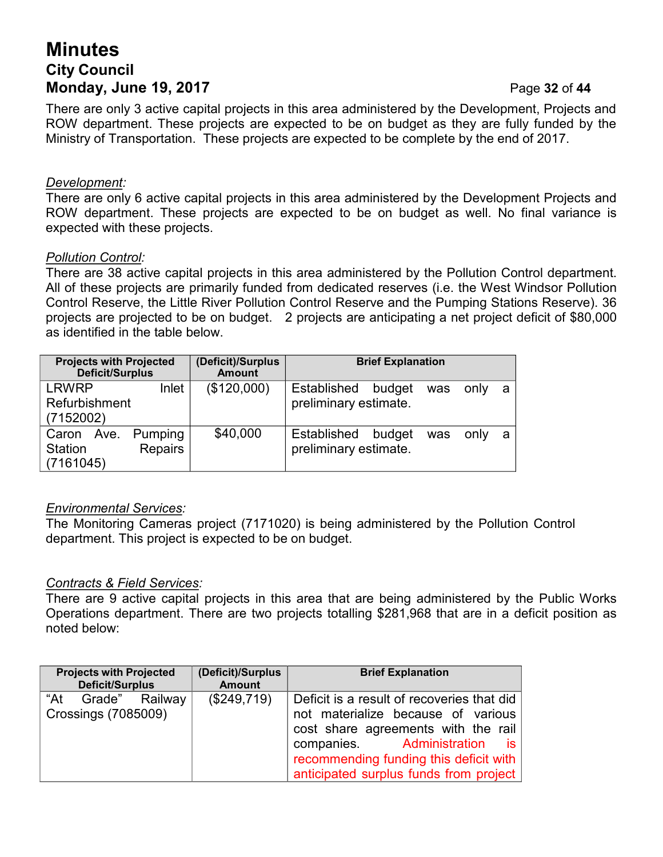# **Minutes City Council Monday, June 19, 2017** Page **32** of **44**

There are only 3 active capital projects in this area administered by the Development, Projects and ROW department. These projects are expected to be on budget as they are fully funded by the Ministry of Transportation. These projects are expected to be complete by the end of 2017.

## *Development:*

There are only 6 active capital projects in this area administered by the Development Projects and ROW department. These projects are expected to be on budget as well. No final variance is expected with these projects.

## *Pollution Control:*

There are 38 active capital projects in this area administered by the Pollution Control department. All of these projects are primarily funded from dedicated reserves (i.e. the West Windsor Pollution Control Reserve, the Little River Pollution Control Reserve and the Pumping Stations Reserve). 36 projects are projected to be on budget. 2 projects are anticipating a net project deficit of \$80,000 as identified in the table below.

| <b>Projects with Projected</b><br>Deficit/Surplus   |                    | (Deficit)/Surplus<br><b>Amount</b> |                                      | <b>Brief Explanation</b> |     |      |   |
|-----------------------------------------------------|--------------------|------------------------------------|--------------------------------------|--------------------------|-----|------|---|
| <b>LRWRP</b><br>Inlet<br>Refurbishment<br>(7152002) |                    | (\$120,000)                        | Established<br>preliminary estimate. | budget                   | was | only | а |
| Caron Ave.<br><b>Station</b><br>(7161045)           | Pumping<br>Repairs | \$40,000                           | Established<br>preliminary estimate. | budget                   | was | only | a |

## *Environmental Services:*

The Monitoring Cameras project (7171020) is being administered by the Pollution Control department. This project is expected to be on budget.

#### *Contracts & Field Services:*

There are 9 active capital projects in this area that are being administered by the Public Works Operations department. There are two projects totalling \$281,968 that are in a deficit position as noted below:

| <b>Projects with Projected</b><br><b>Deficit/Surplus</b> | (Deficit)/Surplus<br><b>Amount</b> | <b>Brief Explanation</b>                                                                                                                                                                                                                    |
|----------------------------------------------------------|------------------------------------|---------------------------------------------------------------------------------------------------------------------------------------------------------------------------------------------------------------------------------------------|
| "At Grade" Railway<br><b>Crossings (7085009)</b>         | (\$249,719)                        | Deficit is a result of recoveries that did<br>not materialize because of various<br>cost share agreements with the rail<br>companies. Administration is<br>recommending funding this deficit with<br>anticipated surplus funds from project |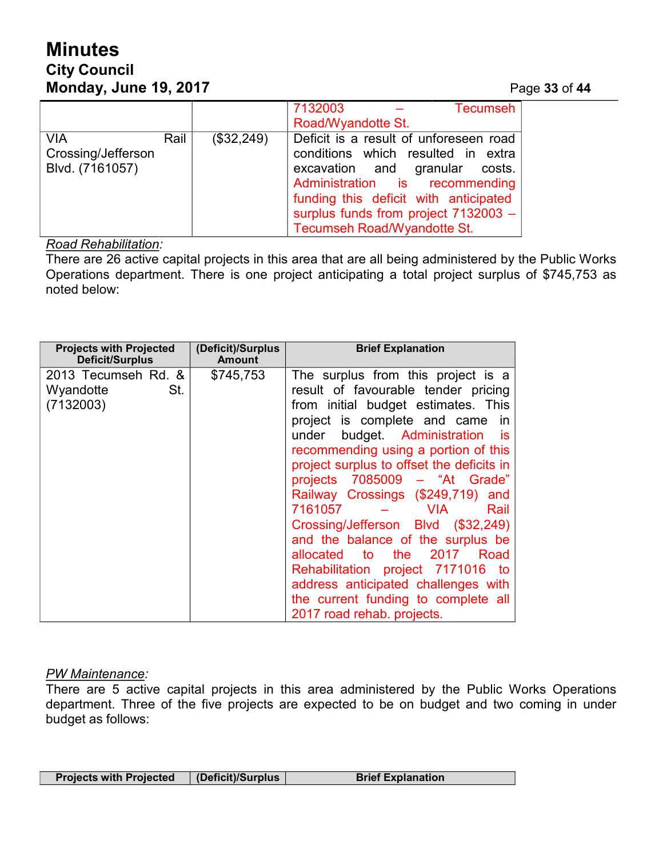# **Minutes City Council Monday, June 19, 2017** Page **33** of **44**

|                                                     |      |            | 7132003<br>Tecumseh                                                                                                                                                                                                                                              |
|-----------------------------------------------------|------|------------|------------------------------------------------------------------------------------------------------------------------------------------------------------------------------------------------------------------------------------------------------------------|
|                                                     |      |            | Road/Wyandotte St.                                                                                                                                                                                                                                               |
| <b>VIA</b><br>Crossing/Jefferson<br>Blvd. (7161057) | Rail | (\$32,249) | Deficit is a result of unforeseen road<br>conditions which resulted in extra<br>excavation and granular costs.<br>Administration is recommending<br>funding this deficit with anticipated<br>surplus funds from project 7132003 -<br>Tecumseh Road/Wyandotte St. |

## *Road Rehabilitation:*

There are 26 active capital projects in this area that are all being administered by the Public Works Operations department. There is one project anticipating a total project surplus of \$745,753 as noted below:

| <b>Projects with Projected</b><br>(Deficit)/Surplus<br><b>Deficit/Surplus</b><br><b>Amount</b> |  | <b>Brief Explanation</b>                                                                                                                                                                                                                                                                                                                |
|------------------------------------------------------------------------------------------------|--|-----------------------------------------------------------------------------------------------------------------------------------------------------------------------------------------------------------------------------------------------------------------------------------------------------------------------------------------|
| \$745,753<br>2013 Tecumseh Rd. &<br>St.<br>Wyandotte<br>(7132003)                              |  | The surplus from this project is a<br>result of favourable tender pricing<br>from initial budget estimates. This<br>project is complete and came<br>$\mathsf{In}$<br>budget. Administration<br>under<br><b>is</b><br>recommending using a portion of this<br>project surplus to offset the deficits in<br>projects 7085009 - "At Grade" |
|                                                                                                |  | Railway Crossings (\$249,719) and<br>7161057 – VIA<br>Rail<br>Crossing/Jefferson Blvd (\$32,249)<br>and the balance of the surplus be<br>allocated to the 2017 Road<br>Rehabilitation project 7171016<br>to<br>address anticipated challenges with<br>the current funding to complete all<br>2017 road rehab. projects.                 |

#### *PW Maintenance:*

There are 5 active capital projects in this area administered by the Public Works Operations department. Three of the five projects are expected to be on budget and two coming in under budget as follows:

| <b>Projects with Projected</b> | (Deficit)/Surplus | <b>Brief Explanation</b> |
|--------------------------------|-------------------|--------------------------|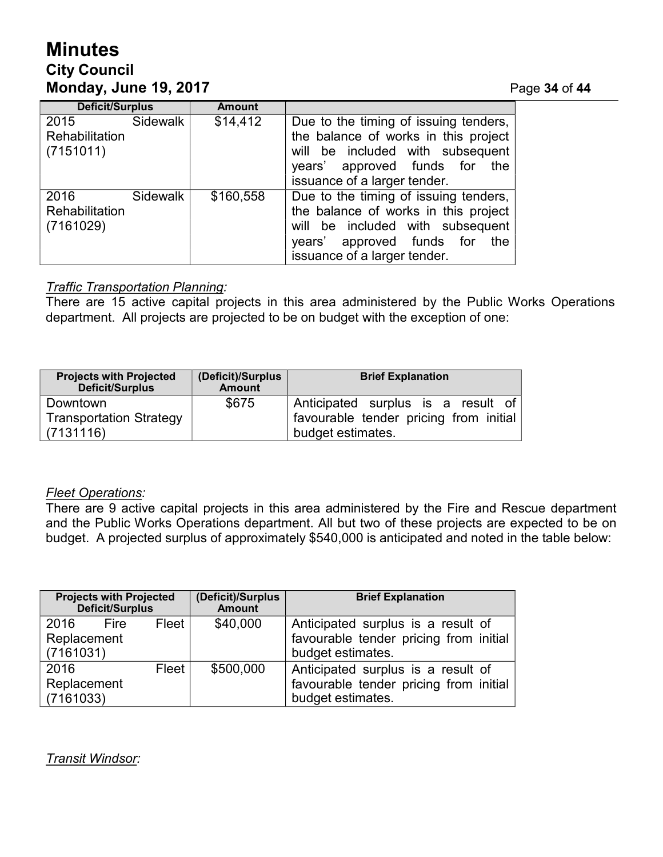# **Minutes City Council Monday, June 19, 2017** Page **34** of **44**

| <b>Deficit/Surplus</b> |          | <b>Amount</b> |                                       |
|------------------------|----------|---------------|---------------------------------------|
| 2015 Sidewalk          |          | \$14,412      | Due to the timing of issuing tenders, |
| Rehabilitation         |          |               | the balance of works in this project  |
| (7151011)              |          |               | will be included with subsequent      |
|                        |          |               | years' approved funds for the         |
|                        |          |               | issuance of a larger tender.          |
| 2016                   | Sidewalk | \$160,558     | Due to the timing of issuing tenders, |
| Rehabilitation         |          |               | the balance of works in this project  |
| (7161029)              |          |               | will be included with subsequent      |
|                        |          |               | years' approved funds for<br>the      |
|                        |          |               | issuance of a larger tender.          |

## *Traffic Transportation Planning:*

There are 15 active capital projects in this area administered by the Public Works Operations department. All projects are projected to be on budget with the exception of one:

| <b>Projects with Projected</b><br><b>Deficit/Surplus</b> | (Deficit)/Surplus<br><b>Amount</b> | <b>Brief Explanation</b>               |
|----------------------------------------------------------|------------------------------------|----------------------------------------|
| Downtown                                                 | \$675                              | Anticipated surplus is a result of     |
| <b>Transportation Strategy</b>                           |                                    | favourable tender pricing from initial |
| (7131116)                                                |                                    | budget estimates.                      |

## *Fleet Operations:*

There are 9 active capital projects in this area administered by the Fire and Rescue department and the Public Works Operations department. All but two of these projects are expected to be on budget. A projected surplus of approximately \$540,000 is anticipated and noted in the table below:

| <b>Projects with Projected</b><br>Deficit/Surplus |       | (Deficit)/Surplus<br><b>Amount</b> | <b>Brief Explanation</b>                                                                          |
|---------------------------------------------------|-------|------------------------------------|---------------------------------------------------------------------------------------------------|
| 2016 Fire<br>Replacement<br>(7161031)             | Fleet | \$40,000                           | Anticipated surplus is a result of<br>favourable tender pricing from initial<br>budget estimates. |
| 2016<br>Replacement<br>(7161033)                  | Fleet | \$500,000                          | Anticipated surplus is a result of<br>favourable tender pricing from initial<br>budget estimates. |

*Transit Windsor:*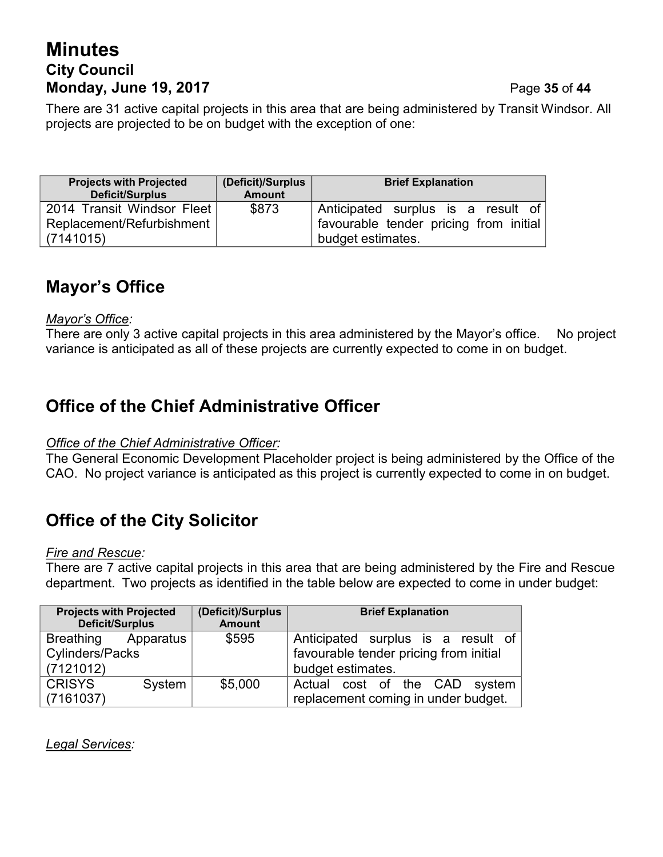# **Minutes City Council Monday, June 19, 2017** Page **35** of **44**

There are 31 active capital projects in this area that are being administered by Transit Windsor. All projects are projected to be on budget with the exception of one:

| <b>Projects with Projected</b><br><b>Deficit/Surplus</b>  | (Deficit)/Surplus<br><b>Amount</b> | <b>Brief Explanation</b>                                                     |
|-----------------------------------------------------------|------------------------------------|------------------------------------------------------------------------------|
| 2014 Transit Windsor Fleet I<br>Replacement/Refurbishment | \$873                              | Anticipated surplus is a result of<br>favourable tender pricing from initial |
| (7141015)                                                 |                                    | budget estimates.                                                            |

# **Mayor's Office**

## *Mayor's Office:*

There are only 3 active capital projects in this area administered by the Mayor's office. No project variance is anticipated as all of these projects are currently expected to come in on budget.

# **Office of the Chief Administrative Officer**

#### *Office of the Chief Administrative Officer:*

The General Economic Development Placeholder project is being administered by the Office of the CAO. No project variance is anticipated as this project is currently expected to come in on budget.

# **Office of the City Solicitor**

#### *Fire and Rescue:*

There are 7 active capital projects in this area that are being administered by the Fire and Rescue department. Two projects as identified in the table below are expected to come in under budget:

| <b>Projects with Projected</b><br>Deficit/Surplus |           | (Deficit)/Surplus<br><b>Amount</b> | <b>Brief Explanation</b>               |
|---------------------------------------------------|-----------|------------------------------------|----------------------------------------|
| Breathing                                         | Apparatus | \$595                              | Anticipated surplus is a result of     |
| Cylinders/Packs                                   |           |                                    | favourable tender pricing from initial |
| (7121012)                                         |           |                                    | budget estimates.                      |
| <b>CRISYS</b>                                     | System    | \$5,000                            | Actual cost of the CAD system          |
| (7161037)                                         |           |                                    | replacement coming in under budget.    |

*Legal Services:*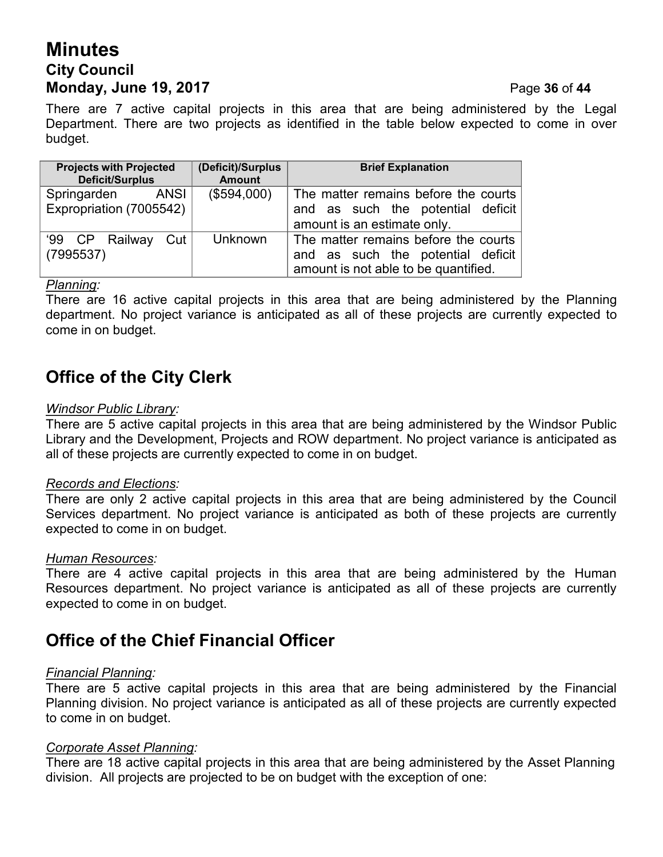# **Minutes City Council Monday, June 19, 2017** Page **36** of **44**

There are 7 active capital projects in this area that are being administered by the Legal Department. There are two projects as identified in the table below expected to come in over budget.

| <b>Projects with Projected</b><br><b>Deficit/Surplus</b> | (Deficit)/Surplus<br><b>Amount</b> | <b>Brief Explanation</b>                                                                                          |
|----------------------------------------------------------|------------------------------------|-------------------------------------------------------------------------------------------------------------------|
| Springarden<br>ANSI<br>Expropriation (7005542)           | (\$594,000)                        | The matter remains before the courts<br>and as such the potential deficit<br>amount is an estimate only.          |
| '99 CP Railway<br>Cut  <br>(7995537)                     | <b>Unknown</b>                     | The matter remains before the courts<br>and as such the potential deficit<br>amount is not able to be quantified. |

#### *Planning:*

There are 16 active capital projects in this area that are being administered by the Planning department. No project variance is anticipated as all of these projects are currently expected to come in on budget.

# **Office of the City Clerk**

#### *Windsor Public Library:*

There are 5 active capital projects in this area that are being administered by the Windsor Public Library and the Development, Projects and ROW department. No project variance is anticipated as all of these projects are currently expected to come in on budget.

#### *Records and Elections:*

There are only 2 active capital projects in this area that are being administered by the Council Services department. No project variance is anticipated as both of these projects are currently expected to come in on budget.

#### *Human Resources:*

There are 4 active capital projects in this area that are being administered by the Human Resources department. No project variance is anticipated as all of these projects are currently expected to come in on budget.

# **Office of the Chief Financial Officer**

#### *Financial Planning:*

There are 5 active capital projects in this area that are being administered by the Financial Planning division. No project variance is anticipated as all of these projects are currently expected to come in on budget.

#### *Corporate Asset Planning:*

There are 18 active capital projects in this area that are being administered by the Asset Planning division. All projects are projected to be on budget with the exception of one: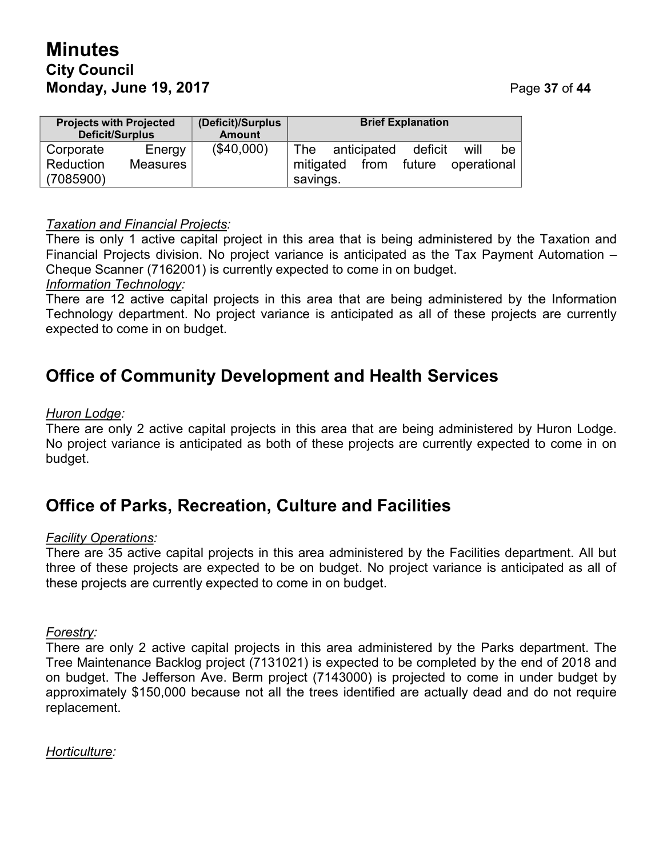# **Minutes City Council Monday, June 19, 2017** Page **37** of **44**

| <b>Projects with Projected</b><br>Deficit/Surplus |                 | (Deficit)/Surplus<br><b>Amount</b> |           |             | <b>Brief Explanation</b> |             |    |
|---------------------------------------------------|-----------------|------------------------------------|-----------|-------------|--------------------------|-------------|----|
| Corporate                                         | Energy          | (\$40,000)                         | ∟ The     | anticipated | deficit                  | will        | be |
| Reduction                                         | <b>Measures</b> |                                    | mitigated | from        | future                   | operational |    |
| (7085900)                                         |                 |                                    | savings.  |             |                          |             |    |

#### *Taxation and Financial Projects:*

There is only 1 active capital project in this area that is being administered by the Taxation and Financial Projects division. No project variance is anticipated as the Tax Payment Automation – Cheque Scanner (7162001) is currently expected to come in on budget.

*Information Technology:*

There are 12 active capital projects in this area that are being administered by the Information Technology department. No project variance is anticipated as all of these projects are currently expected to come in on budget.

# **Office of Community Development and Health Services**

#### *Huron Lodge:*

There are only 2 active capital projects in this area that are being administered by Huron Lodge. No project variance is anticipated as both of these projects are currently expected to come in on budget.

# **Office of Parks, Recreation, Culture and Facilities**

#### *Facility Operations:*

There are 35 active capital projects in this area administered by the Facilities department. All but three of these projects are expected to be on budget. No project variance is anticipated as all of these projects are currently expected to come in on budget.

*Forestry:*

There are only 2 active capital projects in this area administered by the Parks department. The Tree Maintenance Backlog project (7131021) is expected to be completed by the end of 2018 and on budget. The Jefferson Ave. Berm project (7143000) is projected to come in under budget by approximately \$150,000 because not all the trees identified are actually dead and do not require replacement.

*Horticulture:*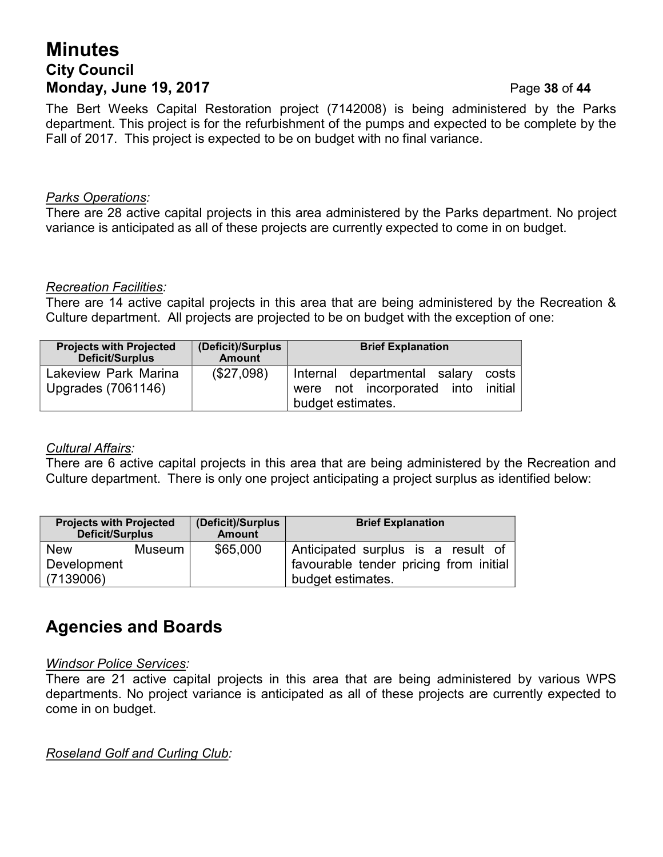# **Minutes City Council Monday, June 19, 2017** Page **38** of **44**

The Bert Weeks Capital Restoration project (7142008) is being administered by the Parks department. This project is for the refurbishment of the pumps and expected to be complete by the Fall of 2017. This project is expected to be on budget with no final variance.

### *Parks Operations:*

There are 28 active capital projects in this area administered by the Parks department. No project variance is anticipated as all of these projects are currently expected to come in on budget.

#### *Recreation Facilities:*

There are 14 active capital projects in this area that are being administered by the Recreation & Culture department. All projects are projected to be on budget with the exception of one:

| <b>Projects with Projected</b><br><b>Deficit/Surplus</b> | (Deficit)/Surplus<br><b>Amount</b> | <b>Brief Explanation</b>                                                                         |
|----------------------------------------------------------|------------------------------------|--------------------------------------------------------------------------------------------------|
| Lakeview Park Marina<br>Upgrades (7061146)               | (\$27,098)                         | Internal departmental salary<br>costs<br>were not incorporated into initial<br>budget estimates. |

#### *Cultural Affairs:*

There are 6 active capital projects in this area that are being administered by the Recreation and Culture department. There is only one project anticipating a project surplus as identified below:

| <b>Projects with Projected</b><br><b>Deficit/Surplus</b> |          | (Deficit)/Surplus<br><b>Amount</b> | <b>Brief Explanation</b>               |
|----------------------------------------------------------|----------|------------------------------------|----------------------------------------|
| New                                                      | Museum I | \$65,000                           | Anticipated surplus is a result of     |
| Development                                              |          |                                    | favourable tender pricing from initial |
| (7139006)                                                |          |                                    | budget estimates.                      |

# **Agencies and Boards**

#### *Windsor Police Services:*

There are 21 active capital projects in this area that are being administered by various WPS departments. No project variance is anticipated as all of these projects are currently expected to come in on budget.

*Roseland Golf and Curling Club:*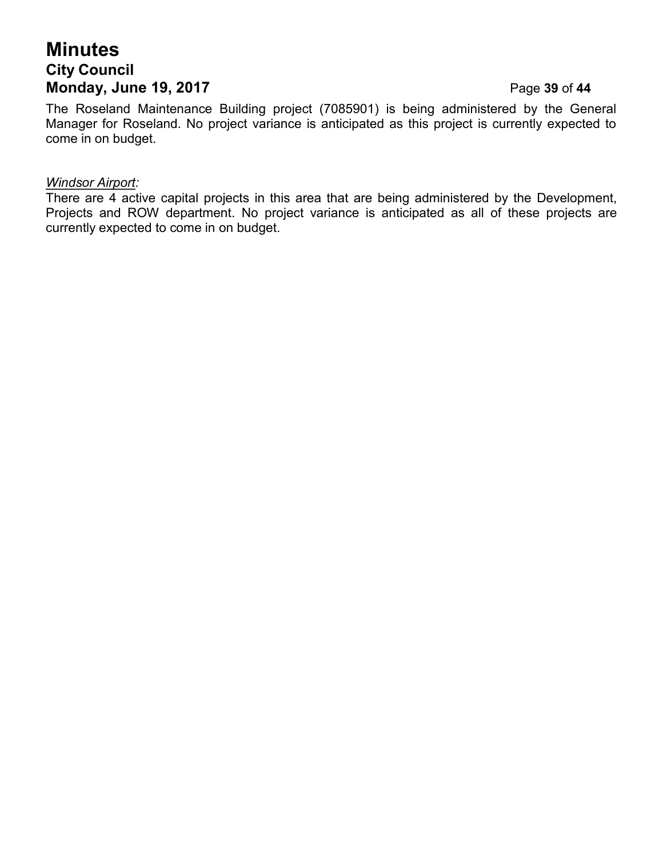# **Minutes City Council Monday, June 19, 2017** Page **39** of **44**

The Roseland Maintenance Building project (7085901) is being administered by the General Manager for Roseland. No project variance is anticipated as this project is currently expected to come in on budget.

## *Windsor Airport:*

There are 4 active capital projects in this area that are being administered by the Development, Projects and ROW department. No project variance is anticipated as all of these projects are currently expected to come in on budget.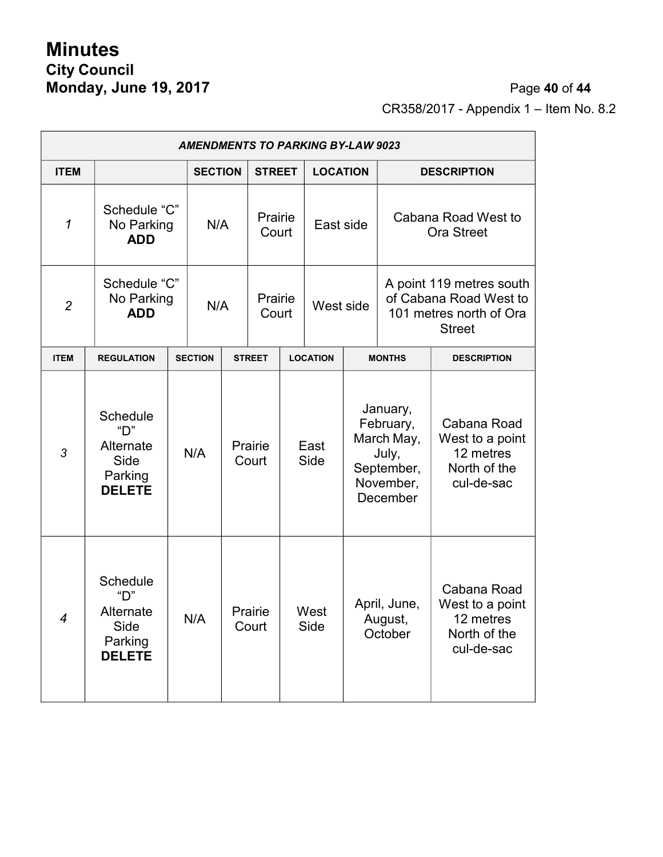# **Minutes City Council Monday, June 19, 2017** Page **40** of **44**

CR358/2017 - Appendix 1 – Item No. 8.2

| <b>AMENDMENTS TO PARKING BY-LAW 9023</b>      |                                                                         |     |                |                  |                  |           |                 |                                    |                                                                                                |                                                                           |  |
|-----------------------------------------------|-------------------------------------------------------------------------|-----|----------------|------------------|------------------|-----------|-----------------|------------------------------------|------------------------------------------------------------------------------------------------|---------------------------------------------------------------------------|--|
| <b>ITEM</b>                                   |                                                                         |     | <b>SECTION</b> |                  | <b>STREET</b>    |           | <b>LOCATION</b> |                                    | <b>DESCRIPTION</b>                                                                             |                                                                           |  |
| Schedule "C"<br>1<br>No Parking<br><b>ADD</b> |                                                                         |     | N/A            |                  | Prairie<br>Court |           | East side       |                                    | Cabana Road West to<br><b>Ora Street</b>                                                       |                                                                           |  |
| $\overline{2}$                                | Schedule "C"<br>No Parking<br><b>ADD</b>                                |     | N/A            |                  | Prairie<br>Court | West side |                 |                                    | A point 119 metres south<br>of Cabana Road West to<br>101 metres north of Ora<br><b>Street</b> |                                                                           |  |
| <b>ITEM</b>                                   | <b>REGULATION</b>                                                       |     | <b>SECTION</b> |                  | <b>STREET</b>    |           | <b>LOCATION</b> |                                    | <b>MONTHS</b>                                                                                  | <b>DESCRIPTION</b>                                                        |  |
| 3                                             | <b>Schedule</b><br>"D"<br>Alternate<br>Side<br>Parking<br><b>DELETE</b> | N/A |                | Prairie<br>Court |                  |           | East<br>Side    |                                    | January,<br>February,<br>March May,<br>July,<br>September,<br>November,<br>December            | Cabana Road<br>West to a point<br>12 metres<br>North of the<br>cul-de-sac |  |
| 4                                             | Schedule<br>"D"<br>Alternate<br>Side<br>Parking<br><b>DELETE</b>        |     | N/A            |                  | Prairie<br>Court |           | West<br>Side    | April, June,<br>August,<br>October |                                                                                                | Cabana Road<br>West to a point<br>12 metres<br>North of the<br>cul-de-sac |  |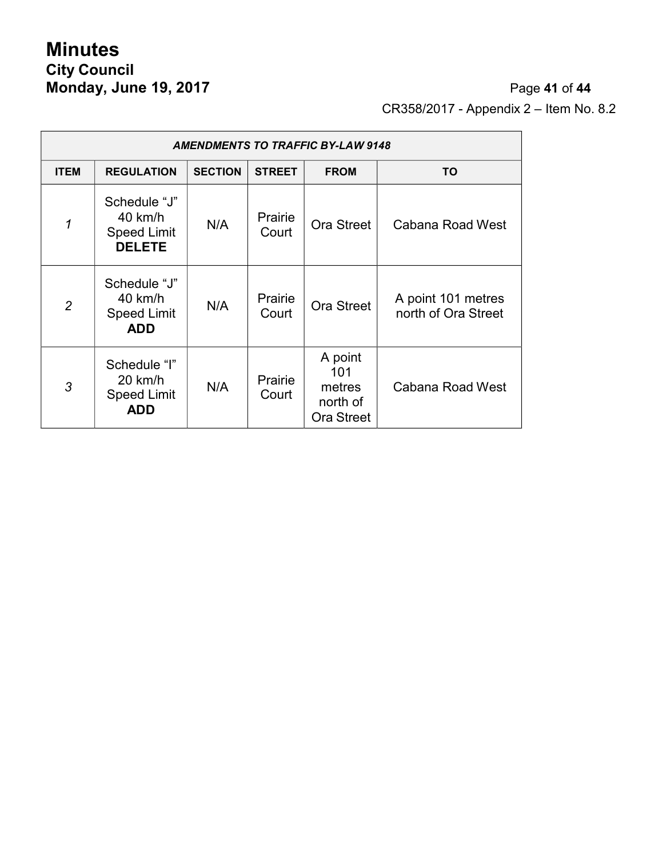# **Minutes City Council Monday, June 19, 2017 Page 41** of 44

CR358/2017 - Appendix 2 – Item No. 8.2

| <b>AMENDMENTS TO TRAFFIC BY-LAW 9148</b> |                                                                |                |                  |                                                           |                                           |  |  |  |  |  |  |
|------------------------------------------|----------------------------------------------------------------|----------------|------------------|-----------------------------------------------------------|-------------------------------------------|--|--|--|--|--|--|
| <b>ITEM</b>                              | <b>REGULATION</b>                                              | <b>SECTION</b> | <b>STREET</b>    | <b>FROM</b>                                               | <b>TO</b>                                 |  |  |  |  |  |  |
| 1                                        | Schedule "J"<br>40 km/h<br><b>Speed Limit</b><br><b>DELETE</b> | N/A            | Prairie<br>Court | Ora Street                                                | Cabana Road West                          |  |  |  |  |  |  |
| $\overline{2}$                           | Schedule "J"<br>40 km/h<br><b>Speed Limit</b><br><b>ADD</b>    | N/A            | Prairie<br>Court | <b>Ora Street</b>                                         | A point 101 metres<br>north of Ora Street |  |  |  |  |  |  |
| 3                                        | Schedule "I"<br>20 km/h<br><b>Speed Limit</b><br><b>ADD</b>    | N/A            | Prairie<br>Court | A point<br>101<br>metres<br>north of<br><b>Ora Street</b> | Cabana Road West                          |  |  |  |  |  |  |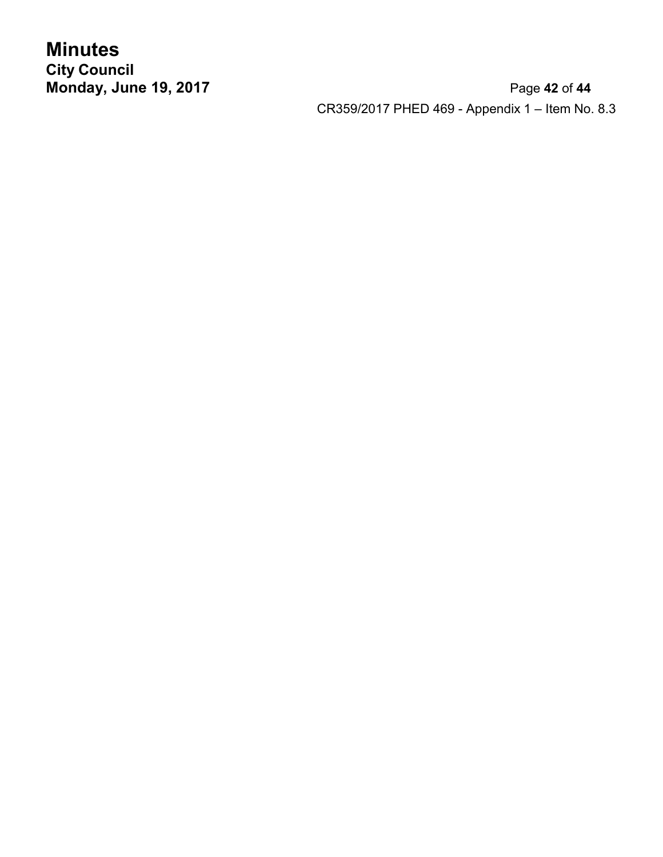# **Minutes**

**City Council**

**Monday, June 19, 2017** Page **42** of **44** CR359/2017 PHED 469 - Appendix 1 – Item No. 8.3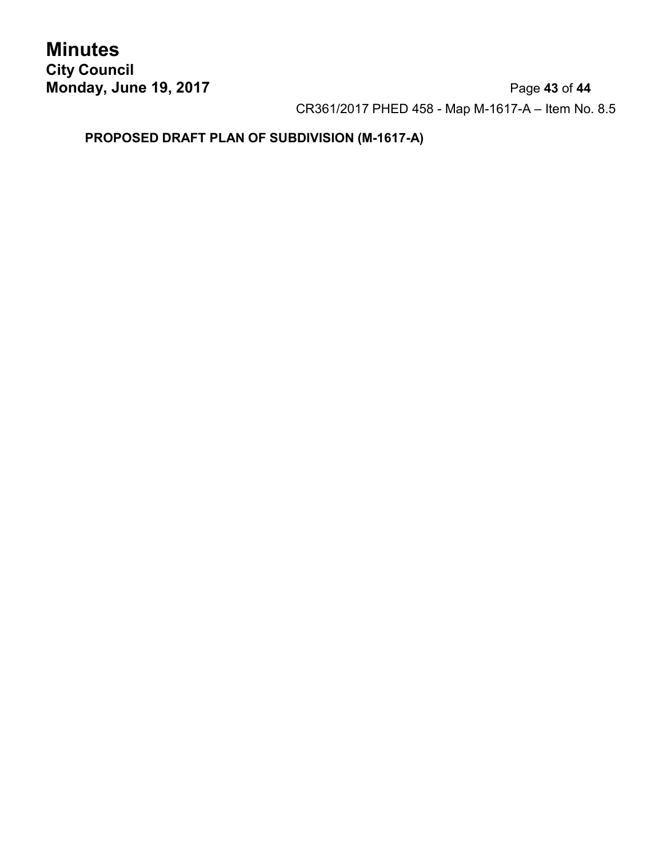**Minutes City Council**

**Monday, June 19, 2017** Page **43** of **44**

CR361/2017 PHED 458 - Map M-1617-A – Item No. 8.5

## **PROPOSED DRAFT PLAN OF SUBDIVISION (M-1617-A)**